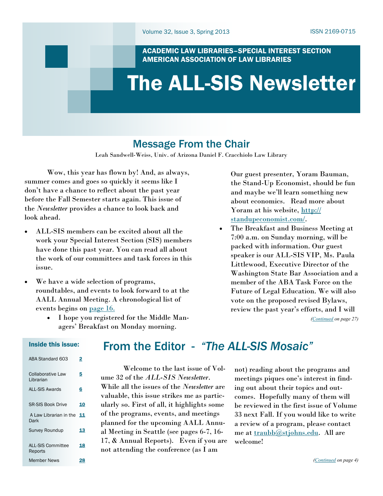## ACADEMIC LAW LIBRARIES–SPECIAL INTEREST SECTION AMERICAN ASSOCIATION OF LAW LIBRARIES

# <span id="page-0-0"></span>The ALL-SIS Newsletter

# Message From the Chair

Leah Sandwell-Weiss, Univ. of Arizona Daniel F. Cracchiolo Law Library

Wow, this year has flown by! And, as always, summer comes and goes so quickly it seems like I don't have a chance to reflect about the past year before the Fall Semester starts again. This issue of the *Newsletter* provides a chance to look back and look ahead.

- ALL-SIS members can be excited about all the work your Special Interest Section (SIS) members have done this past year. You can read all about the work of our committees and task forces in this issue.
- We have a wide selection of programs, roundtables, and events to look forward to at the AALL Annual Meeting. A chronological list of events begins on [page 16.](#page-15-0)
	- I hope you registered for the Middle Managers' Breakfast on Monday morning.

Our guest presenter, Yoram Bauman, the Stand-Up Economist, should be fun and maybe we'll learn something new about economics. Read more about Yoram at his website, [http://](http://standupeconomist.com/) [standupeconomist.com/.](http://standupeconomist.com/) 

 The Breakfast and Business Meeting at 7:00 a.m. on Sunday morning, will be packed with information. Our guest speaker is our ALL-SIS VIP, Ms. Paula Littlewood, Executive Director of the Washington State Bar Association and a member of the ABA Task Force on the Future of Legal Education. We will also vote on the proposed revised Bylaws, review the past year's efforts, and I will

*([Continued](#page-26-0) on page 27)*

### Inside this issue:

| ABA Standard 603                       | 2  |
|----------------------------------------|----|
| <b>Collaborative Law</b><br>I ibrarian | 5  |
| <b>ALL-SIS Awards</b>                  | 6  |
| <b>SR-SIS Book Drive</b>               | 10 |
| A Law Librarian in the<br>Dark         | 11 |
| <b>Survey Roundup</b>                  | 13 |
| <b>ALL-SIS Committee</b><br>Reports    | 18 |
| Member News                            |    |

# From the Editor - *"The ALL-SIS Mosaic"*

Welcome to the last issue of Volume 32 of the *ALL-SIS Newsletter*. While all the issues of the *Newsletter* are valuable, this issue strikes me as particularly so. First of all, it highlights some of the programs, events, and meetings planned for the upcoming AALL Annual Meeting in Seattle (see pages 6-7, 16- 17, & Annual Reports). Even if you are not attending the conference (as I am

not) reading about the programs and meetings piques one's interest in finding out about their topics and outcomes. Hopefully many of them will be reviewed in the first issue of Volume 33 next Fall. If you would like to write a review of a program, please contact me at [traubb@stjohns.edu.](mailto:traubb@stjohns.edu) All are welcome!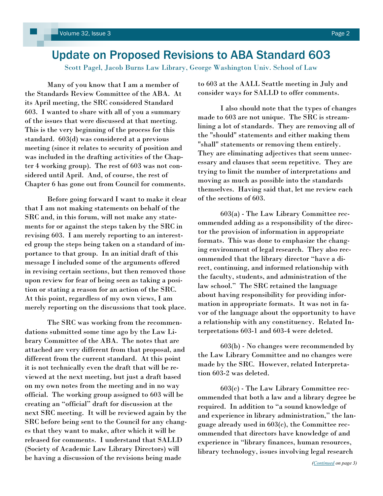# <span id="page-1-0"></span>Update on Proposed Revisions to ABA Standard 603

Scott Pagel, Jacob Burns Law Library, George Washington Univ. School of Law

Many of you know that I am a member of the Standards Review Committee of the ABA. At its April meeting, the SRC considered Standard 603. I wanted to share with all of you a summary of the issues that were discussed at that meeting. This is the very beginning of the process for this standard. 603(d) was considered at a previous meeting (since it relates to security of position and was included in the drafting activities of the Chapter 4 working group). The rest of 603 was not considered until April. And, of course, the rest of Chapter 6 has gone out from Council for comments.

Before going forward I want to make it clear that I am not making statements on behalf of the SRC and, in this forum, will not make any statements for or against the steps taken by the SRC in revising 603. I am merely reporting to an interested group the steps being taken on a standard of importance to that group. In an initial draft of this message I included some of the arguments offered in revising certain sections, but then removed those upon review for fear of being seen as taking a position or stating a reason for an action of the SRC. At this point, regardless of my own views, I am merely reporting on the discussions that took place.

The SRC was working from the recommendations submitted some time ago by the Law Library Committee of the ABA. The notes that are attached are very different from that proposal, and different from the current standard. At this point it is not technically even the draft that will be reviewed at the next meeting, but just a draft based on my own notes from the meeting and in no way official. The working group assigned to 603 will be creating an "official" draft for discussion at the next SRC meeting. It will be reviewed again by the SRC before being sent to the Council for any changes that they want to make, after which it will be released for comments. I understand that SALLD (Society of Academic Law Library Directors) will be having a discussion of the revisions being made

to 603 at the AALL Seattle meeting in July and consider ways for SALLD to offer comments.

I also should note that the types of changes made to 603 are not unique. The SRC is streamlining a lot of standards. They are removing all of the "should" statements and either making them "shall" statements or removing them entirely. They are eliminating adjectives that seem unnecessary and clauses that seem repetitive. They are trying to limit the number of interpretations and moving as much as possible into the standards themselves. Having said that, let me review each of the sections of 603.

603(a) - The Law Library Committee recommended adding as a responsibility of the director the provision of information in appropriate formats. This was done to emphasize the changing environment of legal research. They also recommended that the library director "have a direct, continuing, and informed relationship with the faculty, students, and administration of the law school." The SRC retained the language about having responsibility for providing information in appropriate formats. It was not in favor of the language about the opportunity to have a relationship with any constituency. Related Interpretations 603-1 and 603-4 were deleted.

603(b) - No changes were recommended by the Law Library Committee and no changes were made by the SRC. However, related Interpretation 603-2 was deleted.

603(c) - The Law Library Committee recommended that both a law and a library degree be required. In addition to "a sound knowledge of and experience in library administration," the language already used in 603(c), the Committee recommended that directors have knowledge of and experience in "library finances, human resources, library technology, issues involving legal research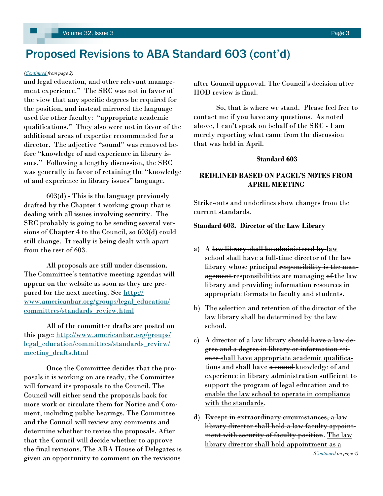# <span id="page-2-0"></span>Proposed Revisions to ABA Standard 603 (cont'd)

#### *([Continued](#page-1-0) from page 2)*

and legal education, and other relevant management experience." The SRC was not in favor of the view that any specific degrees be required for the position, and instead mirrored the language used for other faculty: "appropriate academic qualifications." They also were not in favor of the additional areas of expertise recommended for a director. The adjective "sound" was removed before "knowledge of and experience in library issues." Following a lengthy discussion, the SRC was generally in favor of retaining the "knowledge of and experience in library issues" language.

603(d) - This is the language previously drafted by the Chapter 4 working group that is dealing with all issues involving security. The SRC probably is going to be sending several versions of Chapter 4 to the Council, so 603(d) could still change. It really is being dealt with apart from the rest of 603.

All proposals are still under discussion. The Committee's tentative meeting agendas will appear on the website as soon as they are prepared for the next meeting. See [http://](http://www.americanbar.org/groups/legal_education/committees/standards_review.html) [www.americanbar.org/groups/legal\\_education/](http://www.americanbar.org/groups/legal_education/committees/standards_review.html) [committees/standards\\_review.html](http://www.americanbar.org/groups/legal_education/committees/standards_review.html)

All of the committee drafts are posted on this page: [http://www.americanbar.org/groups/](http://www.americanbar.org/groups/legal_education/committees/standards_review/meeting_drafts.html) [legal\\_education/committees/standards\\_review/](http://www.americanbar.org/groups/legal_education/committees/standards_review/meeting_drafts.html) [meeting\\_drafts.html](http://www.americanbar.org/groups/legal_education/committees/standards_review/meeting_drafts.html)

Once the Committee decides that the proposals it is working on are ready, the Committee will forward its proposals to the Council. The Council will either send the proposals back for more work or circulate them for Notice and Comment, including public hearings. The Committee and the Council will review any comments and determine whether to revise the proposals. After that the Council will decide whether to approve the final revisions. The ABA House of Delegates is given an opportunity to comment on the revisions

after Council approval. The Council's decision after HOD review is final.

So, that is where we stand. Please feel free to contact me if you have any questions. As noted above, I can't speak on behalf of the SRC - I am merely reporting what came from the discussion that was held in April.

#### **Standard 603**

### **REDLINED BASED ON PAGEL'S NOTES FROM APRIL MEETING**

Strike-outs and underlines show changes from the current standards.

#### **Standard 603. Director of the Law Library**

- a) A law library shall be administered by  $law$ school shall have a full-time director of the law library whose principal responsibility is the management responsibilities are managing of the law library and providing information resources in appropriate formats to faculty and students.
- b) The selection and retention of the director of the law library shall be determined by the law school.
- c) A director of a law library should have a law degree and a degree in library or information science shall have appropriate academic qualifications and shall have a sound-knowledge of and experience in library administration sufficient to support the program of legal education and to enable the law school to operate in compliance with the standards.
- d) Except in extraordinary circumstances, a law library director shall hold a law faculty appointment with security of faculty position. The law library director shall hold appointment as a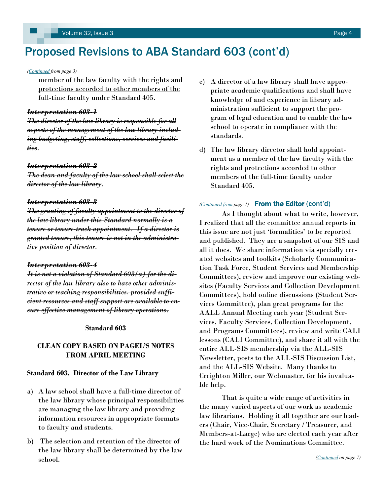# <span id="page-3-0"></span>Proposed Revisions to ABA Standard 603 (cont'd)

*([Continued](#page-2-0) from page 3)*

member of the law faculty with the rights and protections accorded to other members of the full-time faculty under Standard 405.

#### *Interpretation 603-1*

*The director of the law library is responsible for all aspects of the management of the law library including budgeting, staff, collections, services and facilities.*

#### *Interpretation 603-2*

*The dean and faculty of the law school shall select the director of the law library.*

#### *Interpretation 603-3*

*The granting of faculty appointment to the director of the law library under this Standard normally is a tenure or tenure-track appointment. If a director is granted tenure, this tenure is not in the administrative position of director.* 

#### *Interpretation 603-4*

*It is not a violation of Standard 603(a) for the director of the law library also to have other administrative or teaching responsibilities, provided sufficient resources and staff support are available to ensure effective management of library operations.*

#### **Standard 603**

### **CLEAN COPY BASED ON PAGEL'S NOTES FROM APRIL MEETING**

#### **Standard 603. Director of the Law Library**

- a) A law school shall have a full-time director of the law library whose principal responsibilities are managing the law library and providing information resources in appropriate formats to faculty and students.
- b) The selection and retention of the director of the law library shall be determined by the law school.
- c) A director of a law library shall have appropriate academic qualifications and shall have knowledge of and experience in library administration sufficient to support the program of legal education and to enable the law school to operate in compliance with the standards.
- d) The law library director shall hold appointment as a member of the law faculty with the rights and protections accorded to other members of the full-time faculty under Standard 405.

#### *[\(Continued](#page-0-0) from page 1)* From the Editor (cont'd)

As I thought about what to write, however, I realized that all the committee annual reports in this issue are not just 'formalities' to be reported and published. They are a snapshot of our SIS and all it does. We share information via specially created websites and toolkits (Scholarly Communication Task Force, Student Services and Membership Committees), review and improve our existing websites (Faculty Services and Collection Development Committees), hold online discussions (Student Services Committee), plan great programs for the AALL Annual Meeting each year (Student Services, Faculty Services, Collection Development, and Programs Committees), review and write CALI lessons (CALI Committee), and share it all with the entire ALL-SIS membership via the ALL-SIS Newsletter, posts to the ALL-SIS Discussion List, and the ALL-SIS Website. Many thanks to Creighton Miller, our Webmaster, for his invaluable help.

That is quite a wide range of activities in the many varied aspects of our work as academic law librarians. Holding it all together are our leaders (Chair, Vice-Chair, Secretary / Treasurer, and Members-at-Large) who are elected each year after the hard work of the Nominations Committee.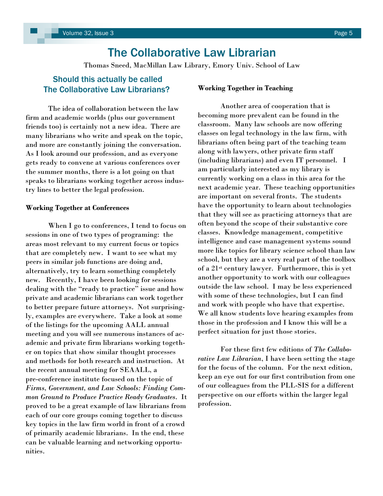# The Collaborative Law Librarian

Thomas Sneed, MacMillan Law Library, Emory Univ. School of Law

# <span id="page-4-0"></span>Should this actually be called The Collaborative Law Librarians?

The idea of collaboration between the law firm and academic worlds (plus our government friends too) is certainly not a new idea. There are many librarians who write and speak on the topic, and more are constantly joining the conversation. As I look around our profession, and as everyone gets ready to convene at various conferences over the summer months, there is a lot going on that speaks to librarians working together across industry lines to better the legal profession.

#### **Working Together at Conferences**

When I go to conferences, I tend to focus on sessions in one of two types of programing: the areas most relevant to my current focus or topics that are completely new. I want to see what my peers in similar job functions are doing and, alternatively, try to learn something completely new. Recently, I have been looking for sessions dealing with the "ready to practice" issue and how private and academic librarians can work together to better prepare future attorneys. Not surprisingly, examples are everywhere. Take a look at some of the listings for the upcoming AALL annual meeting and you will see numerous instances of academic and private firm librarians working together on topics that show similar thought processes and methods for both research and instruction. At the recent annual meeting for SEAALL, a pre-conference institute focused on the topic of *Firms, Government, and Law Schools: Finding Common Ground to Produce Practice Ready Graduates*. It proved to be a great example of law librarians from each of our core groups coming together to discuss key topics in the law firm world in front of a crowd of primarily academic librarians. In the end, these can be valuable learning and networking opportunities.

#### **Working Together in Teaching**

Another area of cooperation that is becoming more prevalent can be found in the classroom. Many law schools are now offering classes on legal technology in the law firm, with librarians often being part of the teaching team along with lawyers, other private firm staff (including librarians) and even IT personnel. I am particularly interested as my library is currently working on a class in this area for the next academic year. These teaching opportunities are important on several fronts. The students have the opportunity to learn about technologies that they will see as practicing attorneys that are often beyond the scope of their substantive core classes. Knowledge management, competitive intelligence and case management systems sound more like topics for library science school than law school, but they are a very real part of the toolbox of a 21st century lawyer. Furthermore, this is yet another opportunity to work with our colleagues outside the law school. I may be less experienced with some of these technologies, but I can find and work with people who have that expertise. We all know students love hearing examples from those in the profession and I know this will be a perfect situation for just those stories.

For these first few editions of *The Collaborative Law Librarian*, I have been setting the stage for the focus of the column. For the next edition, keep an eye out for our first contribution from one of our colleagues from the PLL-SIS for a different perspective on our efforts within the larger legal profession.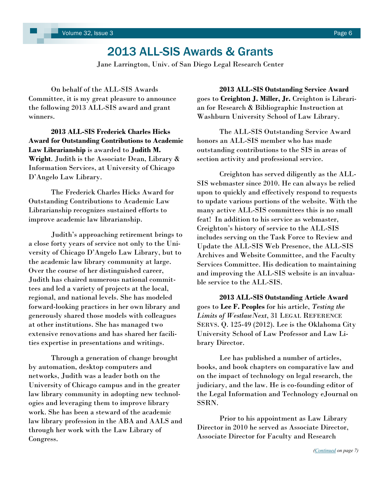# 2013 ALL-SIS Awards & Grants

Jane Larrington, Univ. of San Diego Legal Research Center

<span id="page-5-0"></span>On behalf of the ALL-SIS Awards Committee, it is my great pleasure to announce the following 2013 ALL-SIS award and grant winners.

**2013 ALL-SIS Frederick Charles Hicks Award for Outstanding Contributions to Academic Law Librarianship** is awarded to **Judith M. Wright**. Judith is the Associate Dean, Library & Information Services, at University of Chicago D'Angelo Law Library.

The Frederick Charles Hicks Award for Outstanding Contributions to Academic Law Librarianship recognizes sustained efforts to improve academic law librarianship.

Judith's approaching retirement brings to a close forty years of service not only to the University of Chicago D'Angelo Law Library, but to the academic law library community at large. Over the course of her distinguished career, Judith has chaired numerous national committees and led a variety of projects at the local, regional, and national levels. She has modeled forward-looking practices in her own library and generously shared those models with colleagues at other institutions. She has managed two extensive renovations and has shared her facilities expertise in presentations and writings.

Through a generation of change brought by automation, desktop computers and networks, Judith was a leader both on the University of Chicago campus and in the greater law library community in adopting new technologies and leveraging them to improve library work. She has been a steward of the academic law library profession in the ABA and AALS and through her work with the Law Library of Congress.

**2013 ALL-SIS Outstanding Service Award**  goes to **Creighton J. Miller, Jr.** Creighton is Librarian for Research & Bibliographic Instruction at Washburn University School of Law Library.

The ALL-SIS Outstanding Service Award honors an ALL-SIS member who has made outstanding contributions to the SIS in areas of section activity and professional service.

Creighton has served diligently as the ALL-SIS webmaster since 2010. He can always be relied upon to quickly and effectively respond to requests to update various portions of the website. With the many active ALL-SIS committees this is no small feat! In addition to his service as webmaster, Creighton's history of service to the ALL-SIS includes serving on the Task Force to Review and Update the ALL-SIS Web Presence, the ALL-SIS Archives and Website Committee, and the Faculty Services Committee. His dedication to maintaining and improving the ALL-SIS website is an invaluable service to the ALL-SIS.

**2013 ALL-SIS Outstanding Article Award** goes to **Lee F. Peoples** for his article, *Testing the Limits of WestlawNext*, 31 LEGAL REFERENCE SERVS. Q. 125-49 (2012). Lee is the Oklahoma City University School of Law Professor and Law Library Director.

Lee has published a number of articles, books, and book chapters on comparative law and on the impact of technology on legal research, the judiciary, and the law. He is co-founding editor of the Legal Information and Technology eJournal on SSRN.

Prior to his appointment as Law Library Director in 2010 he served as Associate Director, Associate Director for Faculty and Research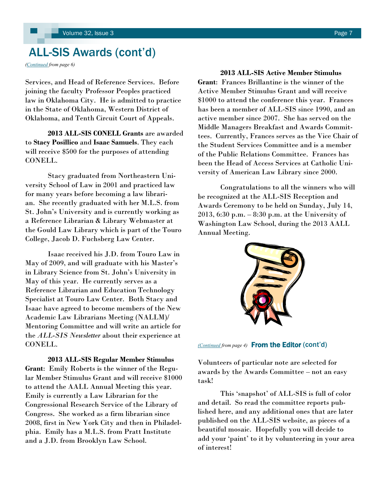# <span id="page-6-0"></span>ALL-SIS Awards (cont'd)

*([Continued](#page-5-0) from page 6)*

Services, and Head of Reference Services. Before joining the faculty Professor Peoples practiced law in Oklahoma City. He is admitted to practice in the State of Oklahoma, Western District of Oklahoma, and Tenth Circuit Court of Appeals.

**2013 ALL-SIS CONELL Grants** are awarded to **Stacy Posillico** and **Isaac Samuels**. They each will receive \$500 for the purposes of attending CONELL.

Stacy graduated from Northeastern University School of Law in 2001 and practiced law for many years before becoming a law librarian. She recently graduated with her M.L.S. from St. John's University and is currently working as a Reference Librarian & Library Webmaster at the Gould Law Library which is part of the Touro College, Jacob D. Fuchsberg Law Center.

Isaac received his J.D. from Touro Law in May of 2009, and will graduate with his Master's in Library Science from St. John's University in May of this year. He currently serves as a Reference Librarian and Education Technology Specialist at Touro Law Center. Both Stacy and Isaac have agreed to become members of the New Academic Law Librarians Meeting (NALLM)/ Mentoring Committee and will write an article for the *ALL-SIS Newsletter* about their experience at CONELL.

**2013 ALL-SIS Regular Member Stimulus Grant**: Emily Roberts is the winner of the Regular Member Stimulus Grant and will receive \$1000 to attend the AALL Annual Meeting this year. Emily is currently a Law Librarian for the Congressional Research Service of the Library of Congress. She worked as a firm librarian since 2008, first in New York City and then in Philadelphia. Emily has a M.L.S. from Pratt Institute and a J.D. from Brooklyn Law School.

**2013 ALL-SIS Active Member Stimulus Grant**: Frances Brillantine is the winner of the Active Member Stimulus Grant and will receive \$1000 to attend the conference this year. Frances has been a member of ALL-SIS since 1990, and an active member since 2007. She has served on the Middle Managers Breakfast and Awards Committees. Currently, Frances serves as the Vice Chair of the Student Services Committee and is a member of the Public Relations Committee. Frances has been the Head of Access Services at Catholic University of American Law Library since 2000.

Congratulations to all the winners who will be recognized at the ALL-SIS Reception and Awards Ceremony to be held on Sunday, July 14, 2013, 6:30 p.m. – 8:30 p.m. at the University of Washington Law School, during the 2013 AALL Annual Meeting.



*[\(Continued](#page-3-0) from page 4)* From the Editor (cont'd)

Volunteers of particular note are selected for awards by the Awards Committee – not an easy task!

This 'snapshot' of ALL-SIS is full of color and detail. So read the committee reports published here, and any additional ones that are later published on the ALL-SIS website, as pieces of a beautiful mosaic. Hopefully you will decide to add your 'paint' to it by volunteering in your area of interest!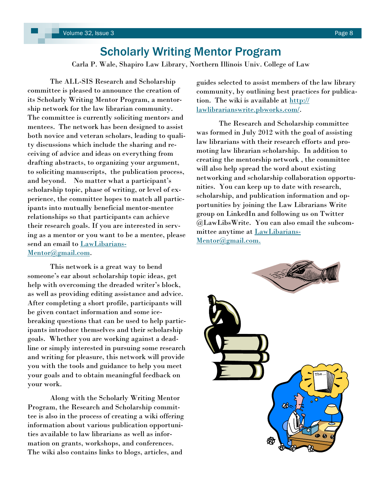# Scholarly Writing Mentor Program

Carla P. Wale, Shapiro Law Library, Northern Illinois Univ. College of Law

The ALL-SIS Research and Scholarship committee is pleased to announce the creation of its Scholarly Writing Mentor Program, a mentorship network for the law librarian community. The committee is currently soliciting mentors and mentees. The network has been designed to assist both novice and veteran scholars, leading to quality discussions which include the sharing and receiving of advice and ideas on everything from drafting abstracts, to organizing your argument, to soliciting manuscripts, the publication process, and beyond. No matter what a participant's scholarship topic, phase of writing, or level of experience, the committee hopes to match all participants into mutually beneficial mentor-mentee relationships so that participants can achieve their research goals. If you are interested in serving as a mentor or you want to be a mentee, please send an email to [LawLibarians-](mailto:LawLibariansMentor@gmail.com)[Mentor@gmail.com.](mailto:LawLibariansMentor@gmail.com)

This network is a great way to bend someone's ear about scholarship topic ideas, get help with overcoming the dreaded writer's block, as well as providing editing assistance and advice. After completing a short profile, participants will be given contact information and some icebreaking questions that can be used to help participants introduce themselves and their scholarship goals. Whether you are working against a deadline or simply interested in pursuing some research and writing for pleasure, this network will provide you with the tools and guidance to help you meet your goals and to obtain meaningful feedback on your work.

Along with the Scholarly Writing Mentor Program, the Research and Scholarship committee is also in the process of creating a wiki offering information about various publication opportunities available to law librarians as well as information on grants, workshops, and conferences. The wiki also contains links to blogs, articles, and

guides selected to assist members of the law library community, by outlining best practices for publication. The wiki is available at [http://](http://lawlibrarianswrite.pbworks.com/) [lawlibrarianswrite.pbworks.com/.](http://lawlibrarianswrite.pbworks.com/)

The Research and Scholarship committee was formed in July 2012 with the goal of assisting law librarians with their research efforts and promoting law librarian scholarship. In addition to creating the mentorship network , the committee will also help spread the word about existing networking and scholarship collaboration opportunities. You can keep up to date with research, scholarship, and publication information and opportunities by joining the Law Librarians Write group on LinkedIn and following us on Twitter @LawLibsWrite. You can also email the subcommittee anytime at [LawLibarians-](mailto:LawLibariansMentor@gmail.com.)[Mentor@gmail.com.](mailto:LawLibariansMentor@gmail.com.)

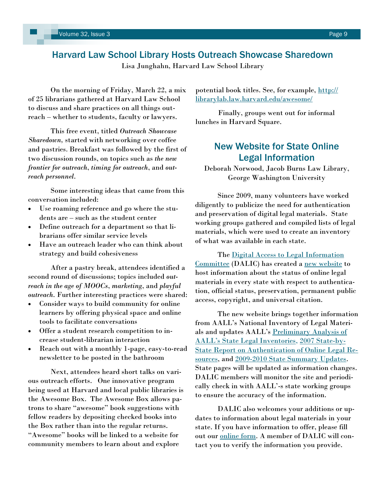# Harvard Law School Library Hosts Outreach Showcase Sharedown

Lisa Junghahn, Harvard Law School Library

On the morning of Friday, March 22, a mix of 25 librarians gathered at Harvard Law School to discuss and share practices on all things outreach – whether to students, faculty or lawyers.

This free event, titled *Outreach Showcase Sharedown,* started with networking over coffee and pastries. Breakfast was followed by the first of two discussion rounds, on topics such as *the new frontier for outreach*, *timing for outreach*, and *outreach personnel*.

Some interesting ideas that came from this conversation included:

- Use roaming reference and go where the students are – such as the student center
- Define outreach for a department so that librarians offer similar service levels
- Have an outreach leader who can think about strategy and build cohesiveness

After a pastry break, attendees identified a second round of discussions; topics included *outreach in the age of MOOCs*, *marketing*, and *playful outreach*. Further interesting practices were shared:

- Consider ways to build community for online learners by offering physical space and online tools to facilitate conversations
- Offer a student research competition to increase student-librarian interaction
- Reach out with a monthly 1-page, easy-to-read newsletter to be posted in the bathroom

Next, attendees heard short talks on various outreach efforts. One innovative program being used at Harvard and local public libraries is the Awesome Box. The Awesome Box allows patrons to share "awesome" book suggestions with fellow readers by depositing checked books into the Box rather than into the regular returns. "Awesome" books will be linked to a website for community members to learn about and explore

potential book titles. See, for example, [http://](http://librarylab.law.harvard.edu/awesome/) [librarylab.law.harvard.edu/awesome/](http://librarylab.law.harvard.edu/awesome/)

Finally, groups went out for informal lunches in Harvard Square.

# New Website for State Online Legal Information

Deborah Norwood, Jacob Burns Law Library, George Washington University

Since 2009, many volunteers have worked diligently to publicize the need for authentication and preservation of digital legal materials. State working groups gathered and compiled lists of legal materials, which were used to create an inventory of what was available in each state.

The [Digital Access to Legal Information](http://www.aallnet.org/main-menu/Leadership-Governance/committee/activecmtes/dali.html)  [Committee](http://www.aallnet.org/main-menu/Leadership-Governance/committee/activecmtes/dali.html) (DALIC) has created a [new website](http://community.aallnet.org/digitalaccesstolegalinformationcommittee/stateonlinelegalinformation) to host information about the status of online legal materials in every state with respect to authentication, official status, preservation, permanent public access, copyright, and universal citation.

The new website brings together information from AALL's National Inventory of Legal Materials and updates AALL's [Preliminary Analysis of](http://www.aallnet.org/Documents/Government-Relations/2011stateinventory.html)  [AALL's State Legal Inventories](http://www.aallnet.org/Documents/Government-Relations/2011stateinventory.html), [2007 State-by-](http://www.aallnet.org/Documents/Government-Relations/2007statereport.html)[State Report on Authentication of Online Legal Re](http://www.aallnet.org/Documents/Government-Relations/2007statereport.html)[sources,](http://www.aallnet.org/Documents/Government-Relations/2007statereport.html) and [2009-2010 State Summary Updates.](http://www.aallnet.org/Documents/Government-Relations/2009statereport.html) State pages will be updated as information changes. DALIC members will monitor the site and periodically check in with AALL'-s state working groups to ensure the accuracy of the information.

DALIC also welcomes your additions or updates to information about legal materials in your state. If you have information to offer, please fill out our [online form.](http://www.surveymonkey.com/s/onlinelegalinformation) A member of DALIC will contact you to verify the information you provide.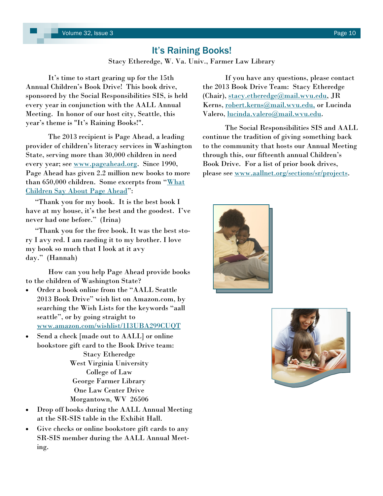# It's Raining Books!

Stacy Etheredge, W. Va. Univ., Farmer Law Library

<span id="page-9-0"></span>It's time to start gearing up for the 15th Annual Children's Book Drive! This book drive, sponsored by the Social Responsibilities SIS, is held every year in conjunction with the AALL Annual Meeting. In honor of our host city, Seattle, this year's theme is "It's Raining Books!".

The 2013 recipient is Page Ahead, a leading provider of children's literacy services in Washington State, serving more than 30,000 children in need every year; see [www.pageahead.org.](http://www.pageahead.org) Since 1990, Page Ahead has given 2.2 million new books to more than 650,000 children. Some excerpts from "What [Children Say About Page Ahead](http://www.pageahead.org/about_testimonials_what-children-say-about-page-ahead.php)":

 "Thank you for my book. It is the best book I have at my house, it's the best and the goodest. I've never had one before." (Irina)

 "Thank you for the free book. It was the best story I avy red. I am raeding it to my brother. I love my book so much that I look at it avy day." (Hannah)

How can you help Page Ahead provide books to the children of Washington State?

- Order a book online from the "AALL Seattle 2013 Book Drive" wish list on Amazon.com, by searching the Wish Lists for the keywords "aall seattle", or by going straight to [www.amazon.com/wishlist/1I3UBA299CUQT](http://www.amazon.com/wishlist/1I3UBA299CUQT)
- Send a check [made out to AALL] or online bookstore gift card to the Book Drive team: Stacy Etheredge West Virginia University College of Law George Farmer Library One Law Center Drive Morgantown, WV 26506
- Drop off books during the AALL Annual Meeting at the SR-SIS table in the Exhibit Hall.
- Give checks or online bookstore gift cards to any SR-SIS member during the AALL Annual Meeting.

If you have any questions, please contact the 2013 Book Drive Team: Stacy Etheredge (Chair), [stacy.etheredge@mail.wvu.edu,](mailto:stacy.etheredge@mail.wvu.edu) JR Kerns, [robert.kerns@mail.wvu.edu,](mailto:robert.kerns@mail.wvu.edu,) or Lucinda Valero, [lucinda.valero@mail.wvu.edu.](mailto:lucinda.valero@mail.wvu.edu) 

The Social Responsibilities SIS and AALL continue the tradition of giving something back to the community that hosts our Annual Meeting through this, our fifteenth annual Children's Book Drive. For a list of prior book drives, please see [www.aallnet.org/sections/sr/projects.](http://www.aallnet.org/sections/sr/projects)



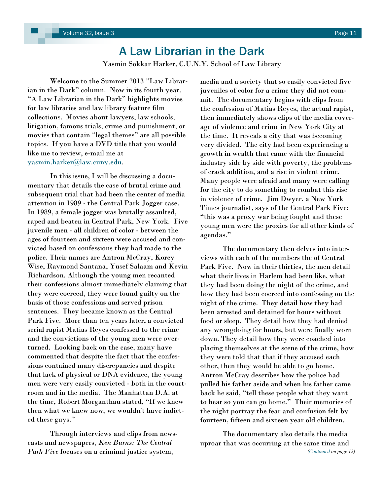# A Law Librarian in the Dark

Yasmin Sokkar Harker, C.U.N.Y. School of Law Library

<span id="page-10-0"></span>Welcome to the Summer 2013 "Law Librarian in the Dark" column. Now in its fourth year, "A Law Librarian in the Dark" highlights movies for law libraries and law library feature film collections. Movies about lawyers, law schools, litigation, famous trials, crime and punishment, or movies that contain "legal themes" are all possible topics. If you have a DVD title that you would like me to review, e-mail me at [yasmin.harker@law.cuny.edu.](mailto:yasmin.harker@mail.law.cuny.edu) 

In this issue, I will be discussing a documentary that details the case of brutal crime and subsequent trial that had been the center of media attention in 1989 - the Central Park Jogger case. In 1989, a female jogger was brutally assaulted, raped and beaten in Central Park, New York. Five juvenile men - all children of color - between the ages of fourteen and sixteen were accused and convicted based on confessions they had made to the police. Their names are Antron McCray, Korey Wise, Raymond Santana, Yusef Salaam and Kevin Richardson. Although the young men recanted their confessions almost immediately claiming that they were coerced, they were found guilty on the basis of those confessions and served prison sentences. They became known as the Central Park Five. More than ten years later, a convicted serial rapist Matias Reyes confessed to the crime and the convictions of the young men were overturned. Looking back on the case, many have commented that despite the fact that the confessions contained many discrepancies and despite that lack of physical or DNA evidence, the young men were very easily convicted - both in the courtroom and in the media. The Manhattan D.A. at the time, Robert Morganthau stated, "If we knew then what we knew now, we wouldn't have indicted these guys."

Through interviews and clips from newscasts and newspapers, *Ken Burns: The Central Park Five* focuses on a criminal justice system,

media and a society that so easily convicted five juveniles of color for a crime they did not commit. The documentary begins with clips from the confession of Matias Reyes, the actual rapist, then immediately shows clips of the media coverage of violence and crime in New York City at the time. It reveals a city that was becoming very divided. The city had been experiencing a growth in wealth that came with the financial industry side by side with poverty, the problems of crack addition, and a rise in violent crime. Many people were afraid and many were calling for the city to do something to combat this rise in violence of crime. Jim Dwyer, a New York Times journalist, says of the Central Park Five: "this was a proxy war being fought and these young men were the proxies for all other kinds of agendas."

The documentary then delves into interviews with each of the members the of Central Park Five. Now in their thirties, the men detail what their lives in Harlem had been like, what they had been doing the night of the crime, and how they had been coerced into confessing on the night of the crime. They detail how they had been arrested and detained for hours without food or sleep. They detail how they had denied any wrongdoing for hours, but were finally worn down. They detail how they were coached into placing themselves at the scene of the crime, how they were told that that if they accused each other, then they would be able to go home. Antron McCray describes how the police had pulled his father aside and when his father came back he said, "tell these people what they want to hear so you can go home." Their memories of the night portray the fear and confusion felt by fourteen, fifteen and sixteen year old children.

The documentary also details the media uproar that was occurring at the same time and *[\(Continued](#page-11-0) on page 12)*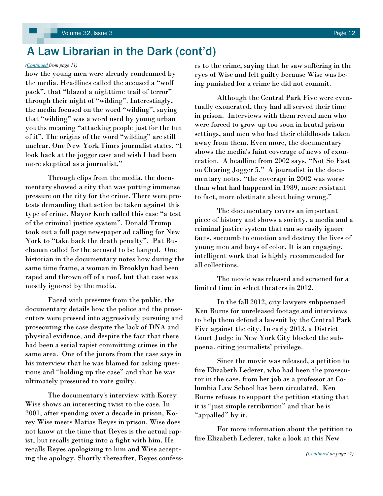# <span id="page-11-0"></span>A Law Librarian in the Dark (cont'd)

how the young men were already condemned by the media. Headlines called the accused a "wolf pack", that "blazed a nighttime trail of terror" through their night of "wilding". Interestingly, the media focused on the word "wilding", saying that "wilding" was a word used by young urban youths meaning "attacking people just for the fun of it". The origins of the word "wilding" are still unclear. One New York Times journalist states, "I look back at the jogger case and wish I had been more skeptical as a journalist."

Through clips from the media, the documentary showed a city that was putting immense pressure on the city for the crime. There were protests demanding that action be taken against this type of crime. Mayor Koch called this case "a test of the criminal justice system". Donald Trump took out a full page newspaper ad calling for New York to "take back the death penalty". Pat Buchanan called for the accused to be hanged. One historian in the documentary notes how during the same time frame, a woman in Brooklyn had been raped and thrown off of a roof, but that case was mostly ignored by the media.

Faced with pressure from the public, the documentary details how the police and the prosecutors were pressed into aggressively pursuing and prosecuting the case despite the lack of DNA and physical evidence, and despite the fact that there had been a serial rapist committing crimes in the same area. One of the jurors from the case says in his interview that he was blamed for asking questions and "holding up the case" and that he was ultimately pressured to vote guilty.

The documentary's interview with Korey Wise shows an interesting twist to the case. In 2001, after spending over a decade in prison, Korey Wise meets Matias Reyes in prison. Wise does not know at the time that Reyes is the actual rapist, but recalls getting into a fight with him. He recalls Reyes apologizing to him and Wise accepting the apology. Shortly thereafter, Reyes confess-

*([Continued](#page-10-0) from page 11)* es to the crime, saying that he saw suffering in the eyes of Wise and felt guilty because Wise was being punished for a crime he did not commit.

> Although the Central Park Five were eventually exonerated, they had all served their time in prison. Interviews with them reveal men who were forced to grow up too soon in brutal prison settings, and men who had their childhoods taken away from them. Even more, the documentary shows the media's faint coverage of news of exoneration. A headline from 2002 says, "Not So Fast on Clearing Jogger 5." A journalist in the documentary notes, "the coverage in 2002 was worse than what had happened in 1989, more resistant to fact, more obstinate about being wrong."

The documentary covers an important piece of history and shows a society, a media and a criminal justice system that can so easily ignore facts, succumb to emotion and destroy the lives of young men and boys of color. It is an engaging, intelligent work that is highly recommended for all collections.

The movie was released and screened for a limited time in select theaters in 2012.

In the fall 2012, city lawyers subpoenaed Ken Burns for unreleased footage and interviews to help them defend a lawsuit by the Central Park Five against the city. In early 2013, a District Court Judge in New York City blocked the subpoena. citing journalists' privilege.

Since the movie was released, a petition to fire Elizabeth Lederer, who had been the prosecutor in the case, from her job as a professor at Columbia Law School has been circulated. Ken Burns refuses to support the petition stating that it is "just simple retribution" and that he is "appalled" by it.

For more information about the petition to fire Elizabeth Lederer, take a look at this New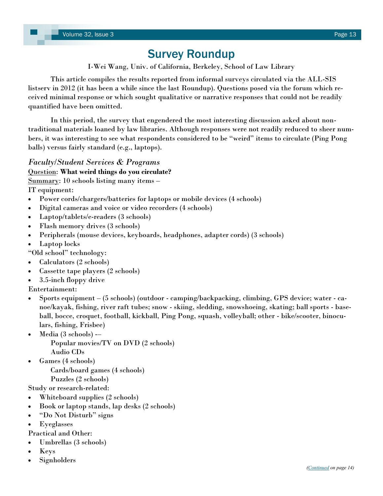# Survey Roundup

I-Wei Wang, Univ. of California, Berkeley, School of Law Library

<span id="page-12-0"></span>This article compiles the results reported from informal surveys circulated via the ALL-SIS listserv in 2012 (it has been a while since the last Roundup). Questions posed via the forum which received minimal response or which sought qualitative or narrative responses that could not be readily quantified have been omitted.

In this period, the survey that engendered the most interesting discussion asked about nontraditional materials loaned by law libraries. Although responses were not readily reduced to sheer numbers, it was interesting to see what respondents considered to be "weird" items to circulate (Ping Pong balls) versus fairly standard (e.g., laptops).

# *Faculty/Student Services & Programs*

# Question: **What weird things do you circulate?**

Summary: 10 schools listing many items –

IT equipment:

- Power cords/chargers/batteries for laptops or mobile devices (4 schools)
- Digital cameras and voice or video recorders (4 schools)
- Laptop/tablets/e-readers (3 schools)
- Flash memory drives (3 schools)
- Peripherals (mouse devices, keyboards, headphones, adapter cords) (3 schools)
- Laptop locks

"Old school" technology:

- Calculators (2 schools)
- Cassette tape players (2 schools)
- 3.5-inch floppy drive

Entertainment:

- Sports equipment (5 schools) (outdoor camping/backpacking, climbing, GPS device; water canoe/kayak, fishing, river raft tubes; snow - skiing, sledding, snowshoeing, skating; ball sports - baseball, bocce, croquet, football, kickball, Ping Pong, squash, volleyball; other - bike/scooter, binoculars, fishing, Frisbee)
- Media (3 schools) --Popular movies/TV on DVD (2 schools) Audio CDs
- Games (4 schools) Cards/board games (4 schools) Puzzles (2 schools)

Study or research-related:

- Whiteboard supplies (2 schools)
- Book or laptop stands, lap desks (2 schools)
- "Do Not Disturb" signs
- Eyeglasses
- Practical and Other:
- Umbrellas (3 schools)
- Keys
- Signholders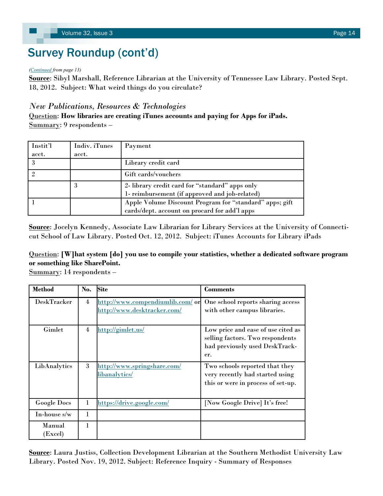# <span id="page-13-0"></span>Survey Roundup (cont'd)

#### *([Continued](#page-12-0) from page 13)*

**Source**: Sibyl Marshall, Reference Librarian at the University of Tennessee Law Library. Posted Sept. 18, 2012. Subject: What weird things do you circulate?

# *New Publications, Resources & Technologies*

Question: **How libraries are creating iTunes accounts and paying for Apps for iPads.** Summary: 9 respondents –

| Instit'l | Indiv. iTunes | Payment                                                                                                  |
|----------|---------------|----------------------------------------------------------------------------------------------------------|
| acct.    | acct.         |                                                                                                          |
| 3        |               | Library credit card                                                                                      |
|          |               | Gift cards/vouchers                                                                                      |
|          | 3             | 2- library credit card for "standard" apps only<br>1- reimbursement (if approved and job-related)        |
|          |               | Apple Volume Discount Program for "standard" apps; gift<br>cards/dept. account on procard for add'l apps |

**Source**: Jocelyn Kennedy, Associate Law Librarian for Library Services at the University of Connecticut School of Law Library. Posted Oct. 12, 2012. Subject: iTunes Accounts for Library iPads

# Question: **[W]hat system [do] you use to compile your statistics, whether a dedicated software program or something like SharePoint.**

Summary: 14 respondents –

| <b>Method</b>      | No. | <b>Site</b>                                                     | <b>Comments</b>                                                                                                 |
|--------------------|-----|-----------------------------------------------------------------|-----------------------------------------------------------------------------------------------------------------|
| <b>DeskTracker</b> | 4   | http://www.compendiumlib.com/ or<br>http://www.desktracker.com/ | One school reports sharing access<br>with other campus libraries.                                               |
| Gimlet             | 4   | http://gimlet.us/                                               | Low price and ease of use cited as<br>selling factors. Two respondents<br>had previously used DeskTrack-<br>er. |
| LibAnalytics       | 3   | http://www.springshare.com/<br>libanalytics/                    | Two schools reported that they<br>very recently had started using<br>this or were in process of set-up.         |
| <b>Google Docs</b> | 1   | https://drive.google.com/                                       | [Now Google Drive] It's free!                                                                                   |
| In-house $s/w$     | 1   |                                                                 |                                                                                                                 |
| Manual<br>(Excel)  | 1   |                                                                 |                                                                                                                 |

**Source**: Laura Justiss, Collection Development Librarian at the Southern Methodist University Law Library. Posted Nov. 19, 2012. Subject: Reference Inquiry - Summary of Responses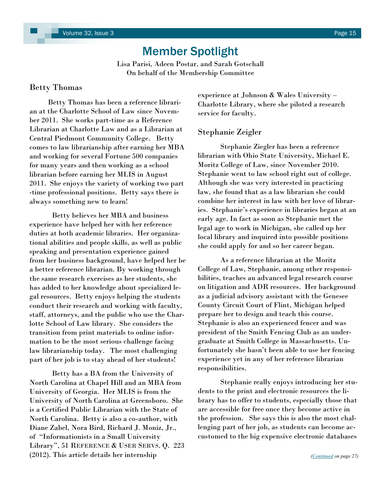# Member Spotlight

Lisa Parisi, Adeen Postar, and Sarah Gotschall On behalf of the Membership Committee

### <span id="page-14-0"></span>Betty Thomas

 Betty Thomas has been a reference librarian at the Charlotte School of Law since November 2011. She works part-time as a Reference Librarian at Charlotte Law and as a Librarian at Central Piedmont Community College. Betty comes to law librarianship after earning her MBA and working for several Fortune 500 companies for many years and then working as a school librarian before earning her MLIS in August 2011. She enjoys the variety of working two part -time professional positions. Betty says there is always something new to learn!

Betty believes her MBA and business experience have helped her with her reference duties at both academic libraries. Her organizational abilities and people skills, as well as public speaking and presentation experience gained from her business background, have helped her be a better reference librarian. By working through the same research exercises as her students, she has added to her knowledge about specialized legal resources. Betty enjoys helping the students conduct their research and working with faculty, staff, attorneys, and the public who use the Charlotte School of Law library. She considers the transition from print materials to online information to be the most serious challenge facing law librarianship today. The most challenging part of her job is to stay ahead of her students!

Betty has a BA from the University of North Carolina at Chapel Hill and an MBA from University of Georgia. Her MLIS is from the University of North Carolina at Greensboro. She is a Certified Public Librarian with the State of North Carolina. Betty is also a co-author, with Diane Zabel, Nora Bird, Richard J. Moniz, Jr., of "Informationists in a Small University Library", 51 REFERENCE & USER SERVS. Q. 223 (2012). This article details her internship

experience at Johnson & Wales University – Charlotte Library, where she piloted a research service for faculty.

### Stephanie Zeigler

Stephanie Ziegler has been a reference librarian with Ohio State University, Michael E. Moritz College of Law, since November 2010. Stephanie went to law school right out of college. Although she was very interested in practicing law, she found that as a law librarian she could combine her interest in law with her love of libraries. Stephanie's experience in libraries began at an early age. In fact as soon as Stephanie met the legal age to work in Michigan, she called up her local library and inquired into possible positions she could apply for and so her career began.

As a reference librarian at the Moritz College of Law, Stephanie, among other responsibilities, teaches an advanced legal research course on litigation and ADR resources. Her background as a judicial advisory assistant with the Genesee County Circuit Court of Flint, Michigan helped prepare her to design and teach this course. Stephanie is also an experienced fencer and was president of the Smith Fencing Club as an undergraduate at Smith College in Massachusetts. Unfortunately she hasn't been able to use her fencing experience yet in any of her reference librarian responsibilities.

Stephanie really enjoys introducing her students to the print and electronic resources the library has to offer to students, especially those that are accessible for free once they become active in the profession. She says this is also the most challenging part of her job, as students can become accustomed to the big expensive electronic databases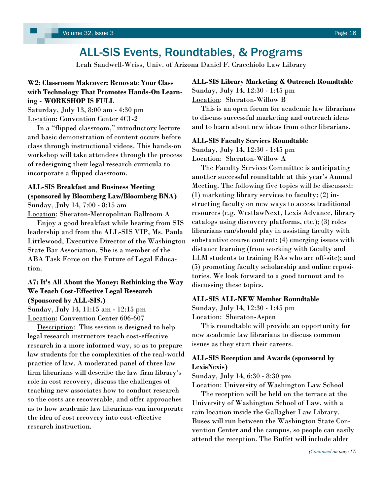# ALL-SIS Events, Roundtables, & Programs

Leah Sandwell-Weiss, Univ. of Arizona Daniel F. Cracchiolo Law Library

### <span id="page-15-0"></span>**W2: Classroom Makeover: Renovate Your Class with Technology That Promotes Hands-On Learning - WORKSHOP IS FULL**

Saturday, July 13, 8:00 am - 4:30 pm Location: Convention Center 4C1-2

 In a "flipped classroom," introductory lecture and basic demonstration of content occurs before class through instructional videos. This hands-on workshop will take attendees through the process of redesigning their legal research curricula to incorporate a flipped classroom.

### **ALL-SIS Breakfast and Business Meeting (sponsored by Bloomberg Law/Bloomberg BNA)** Sunday, July 14, 7:00 - 8:15 am

Location: Sheraton-Metropolitan Ballroom A

 Enjoy a good breakfast while hearing from SIS leadership and from the ALL-SIS VIP, Ms. Paula Littlewood, Executive Director of the Washington State Bar Association. She is a member of the ABA Task Force on the Future of Legal Education.

# **A7: It's All About the Money: Rethinking the Way We Teach Cost-Effective Legal Research (Sponsored by ALL-SIS.)**

Sunday, July 14, 11:15 am - 12:15 pm Location: Convention Center 606-607

Description: This session is designed to help legal research instructors teach cost-effective research in a more informed way, so as to prepare law students for the complexities of the real-world practice of law. A moderated panel of three law firm librarians will describe the law firm library's role in cost recovery, discuss the challenges of teaching new associates how to conduct research so the costs are recoverable, and offer approaches as to how academic law librarians can incorporate the idea of cost recovery into cost-effective research instruction.

### **ALL-SIS Library Marketing & Outreach Roundtable** Sunday, July 14, 12:30 - 1:45 pm Location: Sheraton-Willow B

 This is an open forum for academic law librarians to discuss successful marketing and outreach ideas and to learn about new ideas from other librarians.

#### **ALL-SIS Faculty Services Roundtable**

Sunday, July 14, 12:30 - 1:45 pm Location: Sheraton-Willow A

 The Faculty Services Committee is anticipating another successful roundtable at this year's Annual Meeting. The following five topics will be discussed: (1) marketing library services to faculty; (2) instructing faculty on new ways to access traditional resources (e.g. WestlawNext, Lexis Advance, library catalogs using discovery platforms, etc.); (3) roles librarians can/should play in assisting faculty with substantive course content; (4) emerging issues with distance learning (from working with faculty and LLM students to training RAs who are off-site); and (5) promoting faculty scholarship and online repositories. We look forward to a good turnout and to discussing these topics.

#### **ALL-SIS ALL-NEW Member Roundtable**

Sunday, July 14, 12:30 - 1:45 pm

Location: Sheraton-Aspen

 This roundtable will provide an opportunity for new academic law librarians to discuss common issues as they start their careers.

### **ALL-SIS Reception and Awards (sponsored by LexisNexis)**

Sunday, July 14, 6:30 - 8:30 pm

Location: University of Washington Law School

 The reception will be held on the terrace at the University of Washington School of Law, with a rain location inside the Gallagher Law Library. Buses will run between the Washington State Convention Center and the campus, so people can easily attend the reception. The Buffet will include alder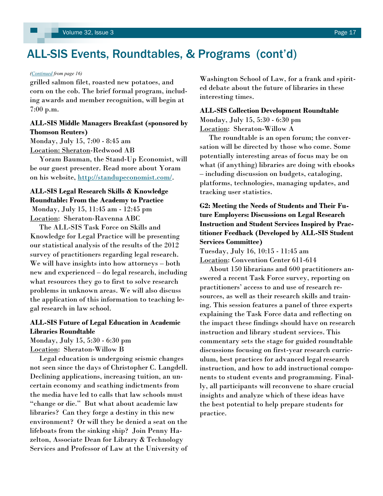# <span id="page-16-0"></span>ALL-SIS Events, Roundtables, & Programs (cont'd)

#### *([Continued](#page-15-0) from page 16)*

grilled salmon filet, roasted new potatoes, and corn on the cob. The brief formal program, including awards and member recognition, will begin at 7:00 p.m.

### **ALL-SIS Middle Managers Breakfast (sponsored by Thomson Reuters)**

Monday, July 15, 7:00 - 8:45 am Location: Sheraton-Redwood AB

 Yoram Bauman, the Stand-Up Economist, will be our guest presenter. Read more about Yoram on his website, [http://standupeconomist.com/.](http://standupeconomist.com/)

# **ALL-SIS Legal Research Skills & Knowledge Roundtable: From the Academy to Practice**

Monday, July 15, 11:45 am - 12:45 pm Location: Sheraton-Ravenna ABC

 The ALL-SIS Task Force on Skills and Knowledge for Legal Practice will be presenting our statistical analysis of the results of the 2012 survey of practitioners regarding legal research. We will have insights into how attorneys – both new and experienced – do legal research, including what resources they go to first to solve research problems in unknown areas. We will also discuss the application of this information to teaching legal research in law school.

### **ALL-SIS Future of Legal Education in Academic Libraries Roundtable**

Monday, July 15, 5:30 - 6:30 pm Location: Sheraton-Willow B

 Legal education is undergoing seismic changes not seen since the days of Christopher C. Langdell. Declining applications, increasing tuition, an uncertain economy and scathing indictments from the media have led to calls that law schools must "change or die." But what about academic law libraries? Can they forge a destiny in this new environment? Or will they be denied a seat on the lifeboats from the sinking ship? Join Penny Hazelton, Associate Dean for Library & Technology Services and Professor of Law at the University of

Washington School of Law, for a frank and spirited debate about the future of libraries in these interesting times.

#### **ALL-SIS Collection Development Roundtable**

Monday, July 15, 5:30 - 6:30 pm Location: Sheraton-Willow A

 The roundtable is an open forum; the conversation will be directed by those who come. Some potentially interesting areas of focus may be on what (if anything) libraries are doing with ebooks – including discussion on budgets, cataloging, platforms, technologies, managing updates, and tracking user statistics.

**G2: Meeting the Needs of Students and Their Future Employers: Discussions on Legal Research Instruction and Student Services Inspired by Practitioner Feedback (Developed by ALL-SIS Student Services Committee)** 

Tuesday, July 16, 10:15 - 11:45 am

Location: Convention Center 611-614

 About 150 librarians and 600 practitioners answered a recent Task Force survey, reporting on practitioners' access to and use of research resources, as well as their research skills and training. This session features a panel of three experts explaining the Task Force data and reflecting on the impact these findings should have on research instruction and library student services. This commentary sets the stage for guided roundtable discussions focusing on first-year research curriculum, best practices for advanced legal research instruction, and how to add instructional components to student events and programming. Finally, all participants will reconvene to share crucial insights and analyze which of these ideas have the best potential to help prepare students for practice.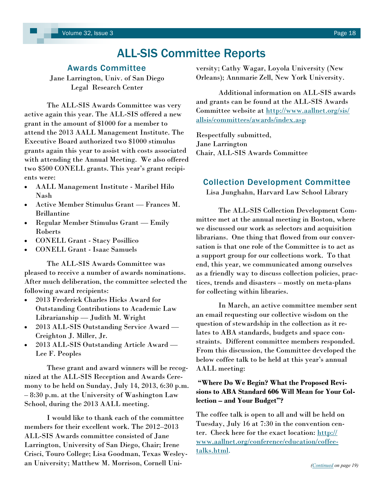# ALL-SIS Committee Reports

### Awards Committee

<span id="page-17-0"></span>Jane Larrington, Univ. of San Diego Legal Research Center

The ALL-SIS Awards Committee was very active again this year. The ALL-SIS offered a new grant in the amount of \$1000 for a member to attend the 2013 AALL Management Institute. The Executive Board authorized two \$1000 stimulus grants again this year to assist with costs associated with attending the Annual Meeting. We also offered two \$500 CONELL grants. This year's grant recipients were:

- AALL Management Institute Maribel Hilo Nash
- Active Member Stimulus Grant Frances M. Brillantine
- Regular Member Stimulus Grant Emily Roberts
- CONELL Grant Stacy Posillico
- CONELL Grant Isaac Samuels

The ALL-SIS Awards Committee was pleased to receive a number of awards nominations. After much deliberation, the committee selected the following award recipients:

- 2013 Frederick Charles Hicks Award for Outstanding Contributions to Academic Law Librarianship — Judith M. Wright
- 2013 ALL-SIS Outstanding Service Award Creighton J. Miller, Jr.
- 2013 ALL-SIS Outstanding Article Award Lee F. Peoples

These grant and award winners will be recognized at the ALL-SIS Reception and Awards Ceremony to be held on Sunday, July 14, 2013, 6:30 p.m. – 8:30 p.m. at the University of Washington Law School, during the 2013 AALL meeting.

I would like to thank each of the committee members for their excellent work. The 2012–2013 ALL-SIS Awards committee consisted of Jane Larrington, University of San Diego, Chair; Irene Crisci, Touro College; Lisa Goodman, Texas Wesleyan University; Matthew M. Morrison, Cornell University; Cathy Wagar, Loyola University (New Orleans); Annmarie Zell, New York University.

Additional information on ALL-SIS awards and grants can be found at the ALL-SIS Awards Committee website at [http://www.aallnet.org/sis/](http://www.aallnet.org/sis/allsis/committees/awards/index.asp) [allsis/committees/awards/index.asp](http://www.aallnet.org/sis/allsis/committees/awards/index.asp)

Respectfully submitted, Jane Larrington Chair, ALL-SIS Awards Committee

### Collection Development Committee

Lisa Junghahn, Harvard Law School Library

The ALL-SIS Collection Development Committee met at the annual meeting in Boston, where we discussed our work as selectors and acquisition librarians. One thing that flowed from our conversation is that one role of the Committee is to act as a support group for our collections work. To that end, this year, we communicated among ourselves as a friendly way to discuss collection policies, practices, trends and disasters – mostly on meta-plans for collecting within libraries.

In March, an active committee member sent an email requesting our collective wisdom on the question of stewardship in the collection as it relates to ABA standards, budgets and space constraints. Different committee members responded. From this discussion, the Committee developed the below coffee talk to be held at this year's annual AALL meeting:

### **"Where Do We Begin? What the Proposed Revisions to ABA Standard 606 Will Mean for Your Collection – and Your Budget"?**

The coffee talk is open to all and will be held on Tuesday, July 16 at 7:30 in the convention center. Check here for the exact location: [http://](http://www.aallnet.org/conference/education/coffee-talks.html) [www.aallnet.org/conference/education/coffee](http://www.aallnet.org/conference/education/coffee-talks.html)[talks.html.](http://www.aallnet.org/conference/education/coffee-talks.html)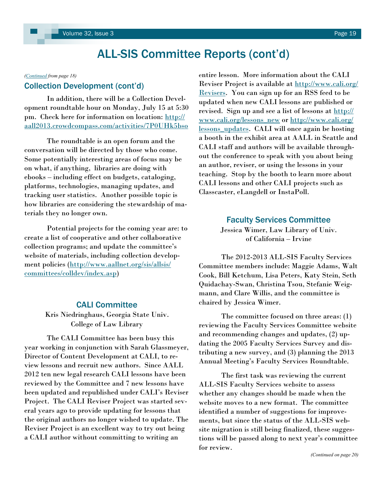#### <span id="page-18-0"></span>*([Continued](#page-17-0) from page 18)*

### Collection Development (cont'd)

In addition, there will be a Collection Development roundtable hour on Monday, July 15 at 5:30 pm. Check here for information on location: [http://](http://aall2013.crowdcompass.com/activities/7P0UHk5bso) [aall2013.crowdcompass.com/activities/7P0UHk5bso](http://aall2013.crowdcompass.com/activities/7P0UHk5bso)

The roundtable is an open forum and the conversation will be directed by those who come. Some potentially interesting areas of focus may be on what, if anything, libraries are doing with ebooks – including effect on budgets, cataloging, platforms, technologies, managing updates, and tracking user statistics. Another possible topic is how libraries are considering the stewardship of materials they no longer own.

Potential projects for the coming year are: to create a list of cooperative and other collaborative collection programs; and update the committee's website of materials, including collection development policies ([http://www.aallnet.org/sis/allsis/](http://www.aallnet.org/sis/allsis/committees/colldev/index.asp) [committees/colldev/index.asp\)](http://www.aallnet.org/sis/allsis/committees/colldev/index.asp)

### CALI Committee

Kris Niedringhaus, Georgia State Univ. College of Law Library

The CALI Committee has been busy this year working in conjunction with Sarah Glassmeyer, Director of Content Development at CALI, to review lessons and recruit new authors. Since AALL 2012 ten new legal research CALI lessons have been reviewed by the Committee and 7 new lessons have been updated and republished under CALI's Reviser Project. The CALI Reviser Project was started several years ago to provide updating for lessons that the original authors no longer wished to update. The Reviser Project is an excellent way to try out being a CALI author without committing to writing an

entire lesson. More information about the CALI Reviser Project is available at [http://www.cali.org/](http://www.cali.org/Revisers) [Revisers.](http://www.cali.org/Revisers) You can sign up for an RSS feed to be updated when new CALI lessons are published or revised. Sign up and see a list of lessons at [http://](http://www.cali.org/lessons_new) [www.cali.org/lessons\\_new](http://www.cali.org/lessons_new) or [http://www.cali.org/](http://www.cali.org/lessons_updates) lessons updates. CALI will once again be hosting a booth in the exhibit area at AALL in Seattle and CALI staff and authors will be available throughout the conference to speak with you about being an author, reviser, or using the lessons in your teaching. Stop by the booth to learn more about CALI lessons and other CALI projects such as Classcaster, eLangdell or InstaPoll.

#### Faculty Services Committee

Jessica Wimer, Law Library of Univ. of California – Irvine

The 2012-2013 ALL-SIS Faculty Services Committee members include: Maggie Adams, Walt Cook, Bill Ketchum, Lisa Peters, Katy Stein, Seth Quidachay-Swan, Christina Tsou, Stefanie Weigmann, and Clare Willis, and the committee is chaired by Jessica Wimer.

The committee focused on three areas: (1) reviewing the Faculty Services Committee website and recommending changes and updates, (2) updating the 2005 Faculty Services Survey and distributing a new survey, and (3) planning the 2013 Annual Meeting's Faculty Services Roundtable.

The first task was reviewing the current ALL-SIS Faculty Services website to assess whether any changes should be made when the website moves to a new format. The committee identified a number of suggestions for improvements, but since the status of the ALL-SIS website migration is still being finalized, these suggestions will be passed along to next year's committee for review.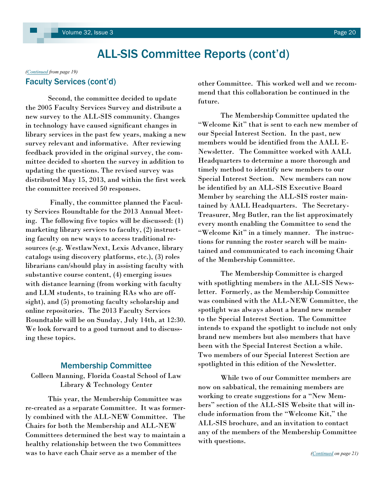# <span id="page-19-0"></span>*[\(Continued](#page-18-0) from page 19)*

Second, the committee decided to update the 2005 Faculty Services Survey and distribute a new survey to the ALL-SIS community. Changes in technology have caused significant changes in library services in the past few years, making a new survey relevant and informative. After reviewing feedback provided in the original survey, the committee decided to shorten the survey in addition to updating the questions. The revised survey was distributed May 15, 2013, and within the first week the committee received 50 responses.

Finally, the committee planned the Faculty Services Roundtable for the 2013 Annual Meeting. The following five topics will be discussed: (1) marketing library services to faculty, (2) instructing faculty on new ways to access traditional resources (e.g. WestlawNext, Lexis Advance, library catalogs using discovery platforms, etc.), (3) roles librarians can/should play in assisting faculty with substantive course content, (4) emerging issues with distance learning (from working with faculty and LLM students, to training RAs who are offsight), and (5) promoting faculty scholarship and online repositories. The 2013 Faculty Services Roundtable will be on Sunday, July 14th, at 12:30. We look forward to a good turnout and to discussing these topics.

### Membership Committee

Colleen Manning, Florida Coastal School of Law Library & Technology Center

This year, the Membership Committee was re-created as a separate Committee. It was formerly combined with the ALL-NEW Committee. The Chairs for both the Membership and ALL-NEW Committees determined the best way to maintain a healthy relationship between the two Committees was to have each Chair serve as a member of the

Faculty Services (cont'd) by the committee. This worked well and we recommend that this collaboration be continued in the future.

> The Membership Committee updated the "Welcome Kit" that is sent to each new member of our Special Interest Section. In the past, new members would be identified from the AALL E-Newsletter. The Committee worked with AALL Headquarters to determine a more thorough and timely method to identify new members to our Special Interest Section. New members can now be identified by an ALL-SIS Executive Board Member by searching the ALL-SIS roster maintained by AALL Headquarters. The Secretary-Treasurer, Meg Butler, ran the list approximately every month enabling the Committee to send the "Welcome Kit" in a timely manner. The instructions for running the roster search will be maintained and communicated to each incoming Chair of the Membership Committee.

> The Membership Committee is charged with spotlighting members in the ALL-SIS Newsletter. Formerly, as the Membership Committee was combined with the ALL-NEW Committee, the spotlight was always about a brand new member to the Special Interest Section. The Committee intends to expand the spotlight to include not only brand new members but also members that have been with the Special Interest Section a while. Two members of our Special Interest Section are spotlighted in this edition of the Newsletter.

> While two of our Committee members are now on sabbatical, the remaining members are working to create suggestions for a "New Members" section of the ALL-SIS Website that will include information from the "Welcome Kit," the ALL-SIS brochure, and an invitation to contact any of the members of the Membership Committee with questions.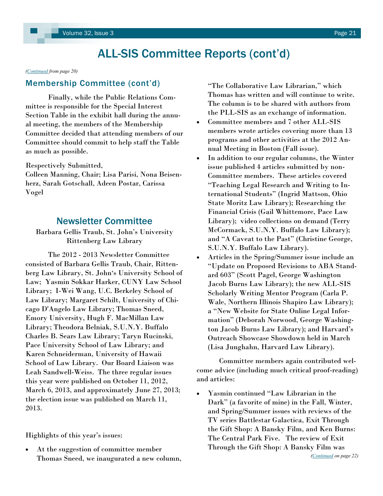<span id="page-20-0"></span>*[\(Continued](#page-19-0) from page 20)*

### Membership Committee (cont'd)

Finally, while the Public Relations Committee is responsible for the Special Interest Section Table in the exhibit hall during the annual meeting, the members of the Membership Committee decided that attending members of our Committee should commit to help staff the Table as much as possible.

Respectively Submitted,

Colleen Manning, Chair; Lisa Parisi, Nona Beisenherz, Sarah Gotschall, Adeen Postar, Carissa Vogel

# Newsletter Committee

### Barbara Gellis Traub, St. John's University Rittenberg Law Library

The 2012 - 2013 Newsletter Committee consisted of Barbara Gellis Traub, Chair, Rittenberg Law Library, St. John's University School of Law; Yasmin Sokkar Harker, CUNY Law School Library; I-Wei Wang, U.C. Berkeley School of Law Library; Margaret Schilt, University of Chicago D'Angelo Law Library; Thomas Sneed, Emory University, Hugh F. MacMillan Law Library; Theodora Belniak, S.U.N.Y. Buffalo Charles B. Sears Law Library; Taryn Rucinski, Pace University School of Law Library; and Karen Schneiderman, University of Hawaii School of Law Library. Our Board Liaison was Leah Sandwell-Weiss. The three regular issues this year were published on October 11, 2012, March 6, 2013, and approximately June 27, 2013; the election issue was published on March 11, 2013.

Highlights of this year's issues:

 At the suggestion of committee member Thomas Sneed, we inaugurated a new column,

"The Collaborative Law Librarian," which Thomas has written and will continue to write. The column is to be shared with authors from the PLL-SIS as an exchange of information.

- Committee members and 7 other ALL-SIS members wrote articles covering more than 13 programs and other activities at the 2012 Annual Meeting in Boston (Fall issue).
- In addition to our regular columns, the Winter issue published 4 articles submitted by non-Committee members. These articles covered "Teaching Legal Research and Writing to International Students" (Ingrid Mattson, Ohio State Moritz Law Library); Researching the Financial Crisis (Gail Whittemore, Pace Law Library); video collections on demand (Terry McCormack, S.U.N.Y. Buffalo Law Library); and "A Caveat to the Past" (Christine George, S.U.N.Y. Buffalo Law Library).
- Articles in the Spring/Summer issue include an "Update on Proposed Revisions to ABA Standard 603" (Scott Pagel, George Washington Jacob Burns Law Library); the new ALL-SIS Scholarly Writing Mentor Program (Carla P. Wale, Northern Illinois Shapiro Law Library); a "New Website for State Online Legal Information" (Deborah Norwood, George Washington Jacob Burns Law Library); and Harvard's Outreach Showcase Showdown held in March (Lisa Junghahn, Harvard Law Library).

Committee members again contributed welcome advice (including much critical proof-reading) and articles:

 Yasmin continued "Law Librarian in the Dark" (a favorite of mine) in the Fall, Winter, and Spring/Summer issues with reviews of the TV series Battlestar Galactica, Exit Through the Gift Shop: A Bansky Film, and Ken Burns: The Central Park Five. The review of Exit Through the Gift Shop: A Bansky Film was *([Continued](#page-21-0) on page 22)*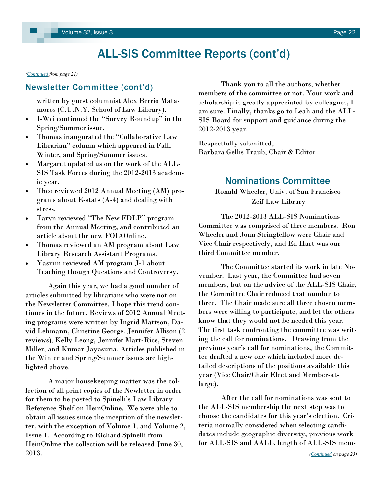<span id="page-21-0"></span>*[\(Continued](#page-20-0) from page 21)*

written by guest columnist Alex Berrio Matamoros (C.U.N.Y. School of Law Library).

- I-Wei continued the "Survey Roundup" in the Spring/Summer issue.
- Thomas inaugurated the "Collaborative Law Librarian" column which appeared in Fall, Winter, and Spring/Summer issues.
- Margaret updated us on the work of the ALL-SIS Task Forces during the 2012-2013 academic year.
- Theo reviewed 2012 Annual Meeting (AM) programs about E-stats (A-4) and dealing with stress.
- Taryn reviewed "The New FDLP" program from the Annual Meeting, and contributed an article about the new FOIAOnline.
- Thomas reviewed an AM program about Law Library Research Assistant Programs.
- Yasmin reviewed AM program J-1 about Teaching though Questions and Controversy.

Again this year, we had a good number of articles submitted by librarians who were not on the Newsletter Committee. I hope this trend continues in the future. Reviews of 2012 Annual Meeting programs were written by Ingrid Mattson, David Lehmann, Christine George, Jennifer Allison (2 reviews), Kelly Leong, Jennifer Mart-Rice, Steven Miller, and Kumar Jayasuria. Articles published in the Winter and Spring/Summer issues are highlighted above.

A major housekeeping matter was the collection of all print copies of the Newletter in order for them to be posted to Spinelli's Law Library Reference Shelf on HeinOnline. We were able to obtain all issues since the inception of the newsletter, with the exception of Volume 1, and Volume 2, Issue 1. According to Richard Spinelli from HeinOnline the collection will be released June 30, 2013.

Newsletter Committee (cont'd) Thank you to all the authors, whether members of the committee or not. Your work and scholarship is greatly appreciated by colleagues, I am sure. Finally, thanks go to Leah and the ALL-SIS Board for support and guidance during the 2012-2013 year.

> Respectfully submitted, Barbara Gellis Traub, Chair & Editor

# Nominations Committee

Ronald Wheeler, Univ. of San Francisco Zeif Law Library

The 2012-2013 ALL-SIS Nominations Committee was comprised of three members. Ron Wheeler and Joan Stringfellow were Chair and Vice Chair respectively, and Ed Hart was our third Committee member.

The Committee started its work in late November. Last year, the Committee had seven members, but on the advice of the ALL-SIS Chair, the Committee Chair reduced that number to three. The Chair made sure all three chosen members were willing to participate, and let the others know that they would not be needed this year. The first task confronting the committee was writing the call for nominations. Drawing from the previous year's call for nominations, the Committee drafted a new one which included more detailed descriptions of the positions available this year (Vice Chair/Chair Elect and Member-atlarge).

After the call for nominations was sent to the ALL-SIS membership the next step was to choose the candidates for this year's election. Criteria normally considered when selecting candidates include geographic diversity, previous work for ALL-SIS and AALL, length of ALL-SIS mem-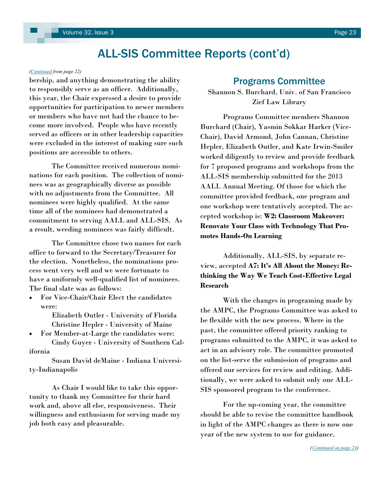#### <span id="page-22-0"></span>*[\(Continued](#page-21-0) from page 22)*

bership, and anything demonstrating the ability to responsibly serve as an officer. Additionally, this year, the Chair expressed a desire to provide opportunities for participation to newer members or members who have not had the chance to become more involved. People who have recently served as officers or in other leadership capacities were excluded in the interest of making sure such positions are accessible to others.

The Committee received numerous nominations for each position. The collection of nominees was as geographically diverse as possible with no adjustments from the Committee. All nominees were highly qualified. At the same time all of the nominees had demonstrated a commitment to serving AALL and ALL-SIS. As a result, weeding nominees was fairly difficult.

The Committee chose two names for each office to forward to the Secretary/Treasurer for the election. Nonetheless, the nominations process went very well and we were fortunate to have a uniformly well-qualified list of nominees. The final slate was as follows:

 For Vice-Chair/Chair Elect the candidates were:

> Elizabeth Outler - University of Florida Christine Hepler - University of Maine

 For Member-at-Large the candidates were: Cindy Guyer - University of Southern California

Susan David deMaine - Indiana University-Indianapolis

As Chair I would like to take this opportunity to thank my Committee for their hard work and, above all else, responsiveness. Their willingness and enthusiasm for serving made my job both easy and pleasurable.

# Programs Committee

Shannon S. Burchard, Univ. of San Francisco Zief Law Library

Programs Committee members Shannon Burchard (Chair), Yasmin Sokkar Harker (Vice-Chair), David Armond, John Cannan, Christine Hepler, Elizabeth Outler, and Kate Irwin-Smiler worked diligently to review and provide feedback for 7 proposed programs and workshops from the ALL-SIS membership submitted for the 2013 AALL Annual Meeting. Of those for which the committee provided feedback, one program and one workshop were tentatively accepted. The accepted workshop is: **W2: Classroom Makeover: Renovate Your Class with Technology That Promotes Hands-On Learning**

Additionally, ALL-SIS, by separate review, accepted **A7: It's All About the Money: Rethinking the Way We Teach Cost-Effective Legal Research** 

With the changes in programing made by the AMPC, the Programs Committee was asked to be flexible with the new process. Where in the past, the committee offered priority ranking to programs submitted to the AMPC, it was asked to act in an advisory role. The committee promoted on the list-serve the submission of programs and offered our services for review and editing. Additionally, we were asked to submit only one ALL-SIS sponsored program to the conference.

For the up-coming year, the committee should be able to revise the committee handbook in light of the AMPC changes as there is now one year of the new system to use for guidance.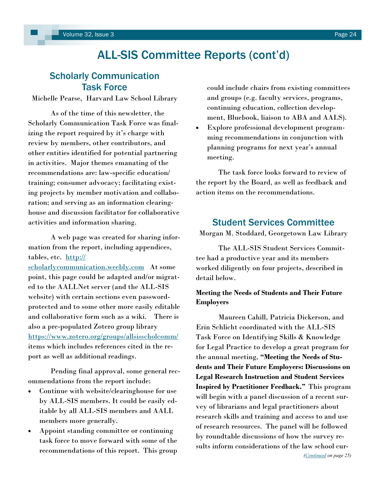# <span id="page-23-0"></span>Scholarly Communication Task Force

Michelle Pearse, Harvard Law School Library

As of the time of this newsletter, the Scholarly Communication Task Force was finalizing the report required by it's charge with review by members, other contributors, and other entities identified for potential partnering in activities. Major themes emanating of the recommendations are: law-specific education/ training; consumer advocacy; facilitating existing projects by member motivation and collaboration; and serving as an information clearinghouse and discussion facilitator for collaborative activities and information sharing.

A web page was created for sharing information from the report, including appendices, tables, etc. [http://](http://scholarlycommunication.weebly.com)

[scholarlycommunication.weebly.com](http://scholarlycommunication.weebly.com) At some point, this page could be adapted and/or migrated to the AALLNet server (and the ALL-SIS website) with certain sections even passwordprotected and to some other more easily editable and collaborative form such as a wiki. There is also a pre-populated Zotero group library <https://www.zotero.org/groups/allsisscholcomm/> items which includes references cited in the report as well as additional readings.

Pending final approval, some general recommendations from the report include:

- Continue with website/clearinghouse for use by ALL-SIS members. It could be easily editable by all ALL-SIS members and AALL members more generally.
- Appoint standing committee or continuing task force to move forward with some of the recommendations of this report. This group

could include chairs from existing committees and groups (e.g. faculty services, programs, continuing education, collection development, Bluebook, liaison to ABA and AALS).

 Explore professional development programming recommendations in conjunction with planning programs for next year's annual meeting.

The task force looks forward to review of the report by the Board, as well as feedback and action items on the recommendations.

# Student Services Committee

Morgan M. Stoddard, Georgetown Law Library

The ALL-SIS Student Services Committee had a productive year and its members worked diligently on four projects, described in detail below.

### **Meeting the Needs of Students and Their Future Employers**

Maureen Cahill, Patricia Dickerson, and Erin Schlicht coordinated with the ALL-SIS Task Force on Identifying Skills & Knowledge for Legal Practice to develop a great program for the annual meeting, **"Meeting the Needs of Students and Their Future Employers: Discussions on Legal Research Instruction and Student Services Inspired by Practitioner Feedback."** This program will begin with a panel discussion of a recent survey of librarians and legal practitioners about research skills and training and access to and use of research resources. The panel will be followed by roundtable discussions of how the survey results inform considerations of the law school cur-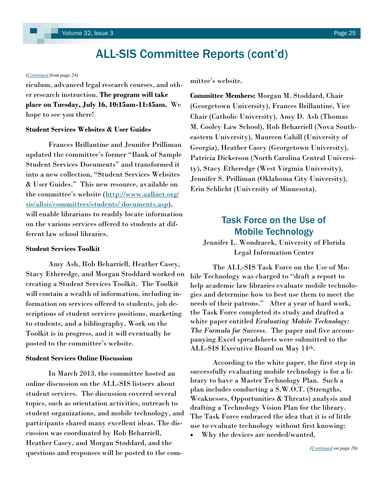#### <span id="page-24-0"></span>*([Continued](#page-23-0) from page 24)*

riculum, advanced legal research courses, and other research instruction. **The program will take place on Tuesday, July 16, 10:15am-11:45am.** We hope to see you there!

#### **Student Services Websites & User Guides**

Frances Brillantine and Jennifer Prilliman updated the committee's former "Bank of Sample Student Services Documents" and transformed it into a new collection, "Student Services Websites & User Guides." This new resource, available on the committee's website ([http://www.aallnet.org/](http://www.aallnet.org/sis/allsis/committees/students/%20documents.asp) [sis/allsis/committees/students/ documents.asp\),](http://www.aallnet.org/sis/allsis/committees/students/%20documents.asp) will enable librarians to readily locate information on the various services offered to students at different law school libraries.

#### **Student Services Toolkit**

Amy Ash, Rob Beharriell, Heather Casey, Stacy Etheredge, and Morgan Stoddard worked on creating a Student Services Toolkit. The Toolkit will contain a wealth of information, including information on services offered to students, job descriptions of student services positions, marketing to students, and a bibliography. Work on the Toolkit is in progress, and it will eventually be posted to the committee's website.

#### **Student Services Online Discussion**

In March 2013, the committee hosted an online discussion on the ALL-SIS listserv about student services. The discussion covered several topics, such as orientation activities, outreach to student organizations, and mobile technology, and participants shared many excellent ideas. The discussion was coordinated by Rob Beharriell, Heather Casey, and Morgan Stoddard, and the questions and responses will be posted to the committee's website.

**Committee Members:** Morgan M. Stoddard, Chair (Georgetown University), Frances Brillantine, Vice Chair (Catholic University), Amy D. Ash (Thomas M. Cooley Law School), Rob Beharriell (Nova Southeastern University), Maureen Cahill (University of Georgia), Heather Casey (Georgetown University), Patricia Dickerson (North Carolina Central University), Stacy Etheredge (West Virginia University), Jennifer S. Prilliman (Oklahoma City University), Erin Schlicht (University of Minnesota).

# Task Force on the Use of Mobile Technology

Jennifer L. Wondracek, University of Florida Legal Information Center

The ALL-SIS Task Force on the Use of Mobile Technology was charged to "draft a report to help academic law libraries evaluate mobile technologies and determine how to best use them to meet the needs of their patrons." After a year of hard work, the Task Force completed its study and drafted a white paper entitled *Evaluating Mobile Technology: The Formula for Success.* The paper and five accompanying Excel spreadsheets were submitted to the ALL-SIS Executive Board on May 14th.

According to the white paper, the first step in successfully evaluating mobile technology is for a library to have a Master Technology Plan. Such a plan includes conducting a S.W.O.T. (Strengths, Weaknesses, Opportunities & Threats) analysis and drafting a Technology Vision Plan for the library. The Task Force embraced the idea that it is of little use to evaluate technology without first knowing:

Why the devices are needed/wanted,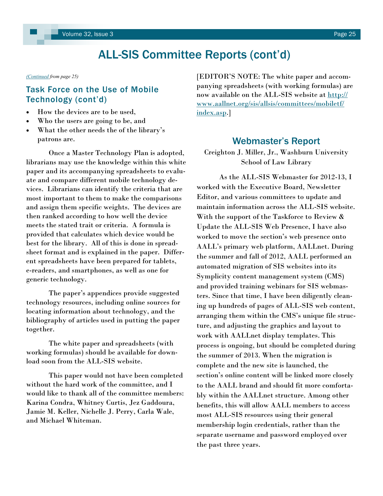#### <span id="page-25-0"></span>*[\(Continued](#page-24-0) from page 25)*

# Task Force on the Use of Mobile Technology (cont'd)

- How the devices are to be used.
- Who the users are going to be, and
- What the other needs the of the library's patrons are.

Once a Master Technology Plan is adopted, librarians may use the knowledge within this white paper and its accompanying spreadsheets to evaluate and compare different mobile technology devices. Librarians can identify the criteria that are most important to them to make the comparisons and assign them specific weights. The devices are then ranked according to how well the device meets the stated trait or criteria. A formula is provided that calculates which device would be best for the library. All of this is done in spreadsheet format and is explained in the paper. Different spreadsheets have been prepared for tablets, e-readers, and smartphones, as well as one for generic technology.

The paper's appendices provide suggested technology resources, including online sources for locating information about technology, and the bibliography of articles used in putting the paper together.

The white paper and spreadsheets (with working formulas) should be available for download soon from the ALL-SIS website.

This paper would not have been completed without the hard work of the committee, and I would like to thank all of the committee members: Karina Condra, Whitney Curtis, Jez Gaddoura, Jamie M. Keller, Nichelle J. Perry, Carla Wale, and Michael Whiteman.

[EDITOR'S NOTE: The white paper and accompanying spreadsheets (with working formulas) are now available on the ALL-SIS website at [http://](http://www.aallnet.org/sis/allsis/committees/mobiletf/index.asp) [www.aallnet.org/sis/allsis/committees/mobiletf/](http://www.aallnet.org/sis/allsis/committees/mobiletf/index.asp) [index.asp.](http://www.aallnet.org/sis/allsis/committees/mobiletf/index.asp)]

# Webmaster's Report

Creighton J. Miller, Jr., Washburn University School of Law Library

As the ALL-SIS Webmaster for 2012-13, I worked with the Executive Board, Newsletter Editor, and various committees to update and maintain information across the ALL-SIS website. With the support of the Taskforce to Review & Update the ALL-SIS Web Presence, I have also worked to move the section's web presence onto AALL's primary web platform, AALLnet. During the summer and fall of 2012, AALL performed an automated migration of SIS websites into its Symplicity content management system (CMS) and provided training webinars for SIS webmasters. Since that time, I have been diligently cleaning up hundreds of pages of ALL-SIS web content, arranging them within the CMS's unique file structure, and adjusting the graphics and layout to work with AALLnet display templates. This process is ongoing, but should be completed during the summer of 2013. When the migration is complete and the new site is launched, the section's online content will be linked more closely to the AALL brand and should fit more comfortably within the AALLnet structure. Among other benefits, this will allow AALL members to access most ALL-SIS resources using their general membership login credentials, rather than the separate username and password employed over the past three years.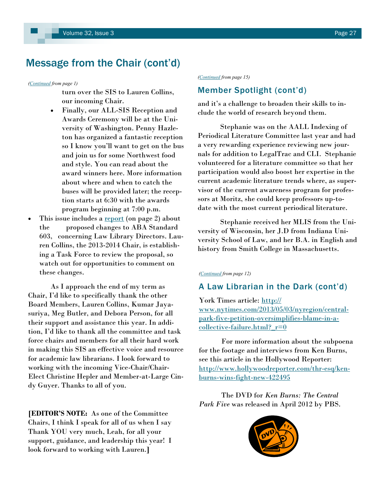# <span id="page-26-0"></span>Message from the Chair (cont'd)

*([Continued](#page-0-0) from page 1)*

turn over the SIS to Lauren Collins, our incoming Chair.

- Finally, our ALL-SIS Reception and Awards Ceremony will be at the University of Washington. Penny Hazleton has organized a fantastic reception so I know you'll want to get on the bus and join us for some Northwest food and style. You can read about the award winners here. More information about where and when to catch the buses will be provided later; the reception starts at 6:30 with the awards program beginning at 7:00 p.m.
- This issue includes a <u>report</u> (on page 2) about the proposed changes to ABA Standard 603, concerning Law Library Directors. Lauren Collins, the 2013-2014 Chair, is establishing a Task Force to review the proposal, so watch out for opportunities to comment on these changes.

As I approach the end of my term as Chair, I'd like to specifically thank the other Board Members, Lauren Collins, Kumar Jayasuriya, Meg Butler, and Debora Person, for all their support and assistance this year. In addition, I'd like to thank all the committee and task force chairs and members for all their hard work in making this SIS an effective voice and resource for academic law librarians. I look forward to working with the incoming Vice-Chair/Chair-Elect Christine Hepler and Member-at-Large Cindy Guyer. Thanks to all of you.

**[EDITOR'S NOTE:** As one of the Committee Chairs, I think I speak for all of us when I say Thank YOU very much, Leah, for all your support, guidance, and leadership this year! I look forward to working with Lauren.**]**

*([Continued](#page-14-0) from page 15)*

# Member Spotlight (cont'd)

and it's a challenge to broaden their skills to include the world of research beyond them.

Stephanie was on the AALL Indexing of Periodical Literature Committee last year and had a very rewarding experience reviewing new journals for addition to LegalTrac and CLI. Stephanie volunteered for a literature committee so that her participation would also boost her expertise in the current academic literature trends where, as supervisor of the current awareness program for professors at Moritz, she could keep professors up-todate with the most current periodical literature.

Stephanie received her MLIS from the University of Wisconsin, her J.D from Indiana University School of Law, and her B.A. in English and history from Smith College in Massachusetts.

#### *([Continued](#page-11-0) from page 12)*

# A Law Librarian in the Dark (cont'd)

York Times article: [http://](http://www.nytimes.com/2013/05/03/nyregion/central-park-five-petition-oversimplifies-blame-in-a-collective-failure.html?_r=0) [www.nytimes.com/2013/05/03/nyregion/central](http://www.nytimes.com/2013/05/03/nyregion/central-park-five-petition-oversimplifies-blame-in-a-collective-failure.html?_r=0)[park-five-petition-oversimplifies-blame-in-a](http://www.nytimes.com/2013/05/03/nyregion/central-park-five-petition-oversimplifies-blame-in-a-collective-failure.html?_r=0)collective-failure.html? $r=0$ 

For more information about the subpoena for the footage and interviews from Ken Burns, see this article in the Hollywood Reporter: [http://www.hollywoodreporter.com/thr-esq/ken](http://www.hollywoodreporter.com/thr-esq/ken-burns-wins-fight-new-422495)[burns-wins-fight-new-422495](http://www.hollywoodreporter.com/thr-esq/ken-burns-wins-fight-new-422495)

The DVD for *Ken Burns: The Central Park Five* was released in April 2012 by PBS.

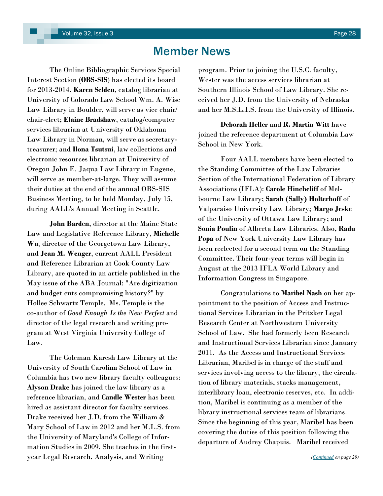# Member News

<span id="page-27-0"></span>The Online Bibliographic Services Special Interest Section (**OBS-SIS**) has elected its board for 2013-2014. **Karen Selden**, catalog librarian at University of Colorado Law School Wm. A. Wise Law Library in Boulder, will serve as vice chair/ chair-elect; **Elaine Bradshaw**, catalog/computer services librarian at University of Oklahoma Law Library in Norman, will serve as secretarytreasurer; and **Ilona Tsutsui**, law collections and electronic resources librarian at University of Oregon John E. Jaqua Law Library in Eugene, will serve as member-at-large. They will assume their duties at the end of the annual OBS-SIS Business Meeting, to be held Monday, July 15, during AALL's Annual Meeting in Seattle.

**John Barden**, director at the Maine State Law and Legislative Reference Library, **Michelle Wu**, director of the Georgetown Law Library, and **Jean M. Wenger**, current AALL President and Reference Librarian at Cook County Law Library, are quoted in an article published in the May issue of the ABA Journal: "Are digitization and budget cuts compromising history?" by Hollee Schwartz Temple. Ms. Temple is the co-author of *Good Enough Is the New Perfect* and director of the legal research and writing program at West Virginia University College of  $Law$ .

The Coleman Karesh Law Library at the University of South Carolina School of Law in Columbia has two new library faculty colleagues: **Alyson Drake** has joined the law library as a reference librarian, and **Candle Wester** has been hired as assistant director for faculty services. Drake received her J.D. from the William & Mary School of Law in 2012 and her M.L.S. from the University of Maryland's College of Information Studies in 2009. She teaches in the firstyear Legal Research, Analysis, and Writing

program. Prior to joining the U.S.C. faculty, Wester was the access services librarian at Southern Illinois School of Law Library. She received her J.D. from the University of Nebraska and her M.S.L.I.S. from the University of Illinois.

**Deborah Heller** and **R. Martin Witt** have joined the reference department at Columbia Law School in New York.

Four AALL members have been elected to the Standing Committee of the Law Libraries Section of the International Federation of Library Associations (IFLA): **Carole Hinchcliff** of Melbourne Law Library; **Sarah (Sally) Holterhoff** of Valparaiso University Law Library; **Margo Jeske**  of the University of Ottawa Law Library; and **Sonia Poulin** of Alberta Law Libraries. Also, **Radu Popa** of New York University Law Library has been reelected for a second term on the Standing Committee. Their four-year terms will begin in August at the 2013 IFLA World Library and Information Congress in Singapore.

Congratulations to **Maribel Nash** on her appointment to the position of Access and Instructional Services Librarian in the Pritzker Legal Research Center at Northwestern University School of Law. She had formerly been Research and Instructional Services Librarian since January 2011. As the Access and Instructional Services Librarian, Maribel is in charge of the staff and services involving access to the library, the circulation of library materials, stacks management, interlibrary loan, electronic reserves, etc. In addition, Maribel is continuing as a member of the library instructional services team of librarians. Since the beginning of this year, Maribel has been covering the duties of this position following the departure of Audrey Chapuis. Maribel received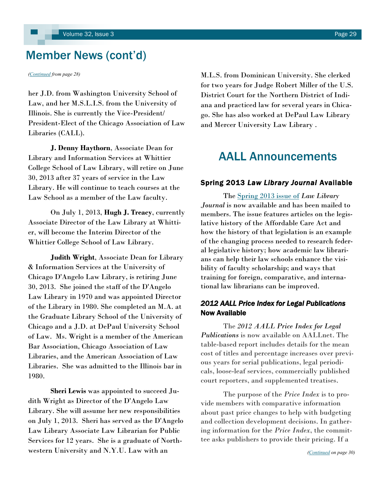# <span id="page-28-0"></span>Member News (cont'd)

her J.D. from Washington University School of Law, and her M.S.L.I.S. from the University of Illinois. She is currently the Vice-President/ President-Elect of the Chicago Association of Law Libraries (CALL).

**J. Denny Haythorn**, Associate Dean for Library and Information Services at Whittier College School of Law Library, will retire on June 30, 2013 after 37 years of service in the Law Library. He will continue to teach courses at the Law School as a member of the Law faculty.

On July 1, 2013, **Hugh J. Treacy**, currently Associate Director of the Law Library at Whittier, will become the Interim Director of the Whittier College School of Law Library.

**Judith Wright**, Associate Dean for Library & Information Services at the University of Chicago D'Angelo Law Library, is retiring June 30, 2013. She joined the staff of the D'Angelo Law Library in 1970 and was appointed Director of the Library in 1980. She completed an M.A. at the Graduate Library School of the University of Chicago and a J.D. at DePaul University School of Law. Ms. Wright is a member of the American Bar Association, Chicago Association of Law Libraries, and the American Association of Law Libraries. She was admitted to the Illinois bar in 1980.

**Sheri Lewis** was appointed to succeed Judith Wright as Director of the D'Angelo Law Library. She will assume her new responsibilities on July 1, 2013. Sheri has served as the D'Angelo Law Library Associate Law Librarian for Public Services for 12 years. She is a graduate of Northwestern University and N.Y.U. Law with an

*([Continued](#page-27-0) from page 28)* M.L.S. from Dominican University. She clerked for two years for Judge Robert Miller of the U.S. District Court for the Northern District of Indiana and practiced law for several years in Chicago. She has also worked at DePaul Law Library and Mercer University Law Library .

# AALL Announcements

### Spring 2013 *Law Library Journal* Available

The [Spring 2013 issue of](http://www.aallnet.org/main-menu/Publications/llj/Vol-105/no-2) *Law Library [Journal](http://www.aallnet.org/main-menu/Publications/llj/Vol-105/no-2)* is now available and has been mailed to members. The issue features articles on the legislative history of the Affordable Care Act and how the history of that legislation is an example of the changing process needed to research federal legislative history; how academic law librarians can help their law schools enhance the visibility of faculty scholarship; and ways that training for foreign, comparative, and international law librarians can be improved.

## *2012 AALL Price Index for Legal Publications*  Now Available

The *[2012 AALL Price Index for Legal](http://www.aallnet.org/main-menu/Publications/products/pub-price/Price-Index-2012.html)  [Publications](http://www.aallnet.org/main-menu/Publications/products/pub-price/Price-Index-2012.html)* is now available on AALLnet. The table-based report includes details for the mean cost of titles and percentage increases over previous years for serial publications, legal periodicals, loose-leaf services, commercially published court reporters, and supplemented treatises.

The purpose of the *Price Index* is to provide members with comparative information about past price changes to help with budgeting and collection development decisions. In gathering information for the *Price Index*, the committee asks publishers to provide their pricing. If a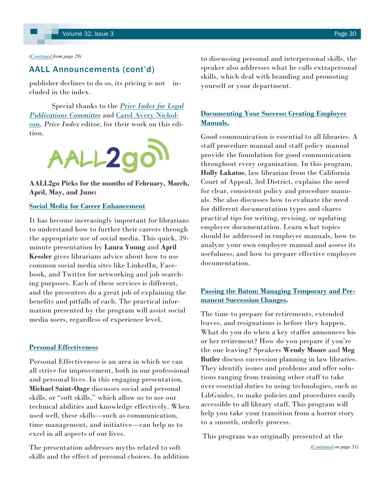#### <span id="page-29-0"></span>*[\(Continued](#page-28-0) from page 29)*

### AALL Announcements (cont'd)

publisher declines to do so, its pricing is not included in the index.

Special thanks to the *[Price Index for Legal](http://www.aallnet.org/assn/Committees.aspx?code=COM_PRICE)  [Publications](http://www.aallnet.org/assn/Committees.aspx?code=COM_PRICE) Committee* and [Carol Avery Nichol](mailto:cnichol@email.unc.edu)[son,](mailto:cnichol@email.unc.edu) *Price Index* editor, for their work on this edition.



**AALL2go Picks for the months of February, March, April, May, and June:** 

### **[Social Media for Career Enhancement](http://aall.sclivelearningcenter.com/index.aspx?PID=6278&SID=163297)**

It has become increasingly important for librarians to understand how to further their careers through the appropriate use of social media. This quick, 39 minute presentation by **Laura Young** and **April Kessler** gives librarians advice about how to use common social media sites like LinkedIn, Facebook, and Twitter for networking and job searching purposes. Each of these services is different, and the presenters do a great job of explaining the benefits and pitfalls of each. The practical information presented by the program will assist social media users, regardless of experience level.

### **[Personal Effectiveness](http://aall.sclivelearningcenter.com/index.aspx?PID=6278&SID=163298)**

Personal Effectiveness is an area in which we can all strive for improvement, both in our professional and personal lives. In this engaging presentation, **Michael Saint-Onge** discusses social and personal skills, or "soft skills," which allow us to use our technical abilities and knowledge effectively. When used well, these skills—such as communication, time management, and initiative—can help us to excel in all aspects of our lives.

The presentation addresses myths related to soft skills and the effect of personal choices. In addition to discussing personal and interpersonal skills, the speaker also addresses what he calls extrapersonal skills, which deal with branding and promoting yourself or your department.

### **[Documenting Your Success: Creating Employee](http://r20.rs6.net/tn.jsp?e=001d7GlHN5m5qd9a4d4sprW324RMPJJbHhrpHWb6k_eJcaAtG_C7jAR2XJkmrHM2BJ0tSRWyJXWr7QWhlYq7J2DTWBFcL2vI8ClMaV8o7m7dy7mSA7LY4MfWbriCsoBZzlsByvcsReWRz9zkTOtX5Xpwq-CQ5EtroCpbyCCI0slD8Vg2Y-JU-X24g==)  [Manuals.](http://r20.rs6.net/tn.jsp?e=001d7GlHN5m5qd9a4d4sprW324RMPJJbHhrpHWb6k_eJcaAtG_C7jAR2XJkmrHM2BJ0tSRWyJXWr7QWhlYq7J2DTWBFcL2vI8ClMaV8o7m7dy7mSA7LY4MfWbriCsoBZzlsByvcsReWRz9zkTOtX5Xpwq-CQ5EtroCpbyCCI0slD8Vg2Y-JU-X24g==)**

Good communication is essential to all libraries. A staff procedure manual and staff policy manual provide the foundation for good communication throughout every organization. In this program, **Holly Lakatos**, law librarian from the California Court of Appeal, 3rd District, explains the need for clear, consistent policy and procedure manuals. She also discusses how to evaluate the need for different documentation types and shares practical tips for writing, revising, or updating employee documentation. Learn what topics should be addressed in employee manuals, how to analyze your own employee manual and assess its usefulness, and how to prepare effective employee documentation.

### **[Passing the Baton: Managing Temporary and Per](http://r20.rs6.net/tn.jsp?t=fortw5mab.0.e65ic4mab.cvmpgvdab.1916&ts=S0902&r=3&p=http%3A%2F%2Faall.sclivelearningcenter.com%2Findex.aspx%3FPID%3D6278%26SID%3D153750)[manent Succession Changes.](http://r20.rs6.net/tn.jsp?t=fortw5mab.0.e65ic4mab.cvmpgvdab.1916&ts=S0902&r=3&p=http%3A%2F%2Faall.sclivelearningcenter.com%2Findex.aspx%3FPID%3D6278%26SID%3D153750)**

The time to prepare for retirements, extended leaves, and resignations is before they happen. What do you do when a key staffer announces his or her retirement? How do you prepare if you're the one leaving? Speakers **Wendy Moore** and **Meg Butler** discuss succession planning in law libraries. They identify issues and problems and offer solutions ranging from training other staff to take over essential duties to using technologies, such as LibGuides, to make policies and procedures easily accessible to all library staff. This program will help you take your transition from a horror story to a smooth, orderly process.

This program was originally presented at the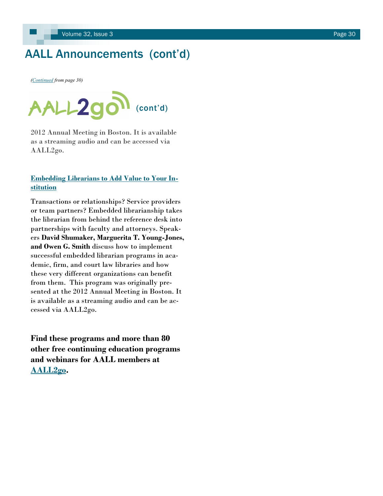# <span id="page-30-0"></span>AALL Announcements (cont'd)

*([Continued](#page-29-0) from page 30)*



2012 Annual Meeting in Boston. It is available as a streaming audio and can be accessed via AALL2go.

### **[Embedding Librarians to Add Value to Your In](http://aall.sclivelearningcenter.com/index.aspx?PID=6278&SID=153727)[stitution](http://aall.sclivelearningcenter.com/index.aspx?PID=6278&SID=153727)**

Transactions or relationships? Service providers or team partners? Embedded librarianship takes the librarian from behind the reference desk into partnerships with faculty and attorneys. Speakers **David Shumaker, Marguerita T. Young-Jones, and Owen G. Smith** discuss how to implement successful embedded librarian programs in academic, firm, and court law libraries and how these very different organizations can benefit from them. This program was originally presented at the 2012 Annual Meeting in Boston. It is available as a streaming audio and can be accessed via AALL2go.

**Find these programs and more than 80 other free continuing education programs and webinars for AALL members at [AALL2go.](http://aall.sclivelearningcenter.com/index.aspx)**